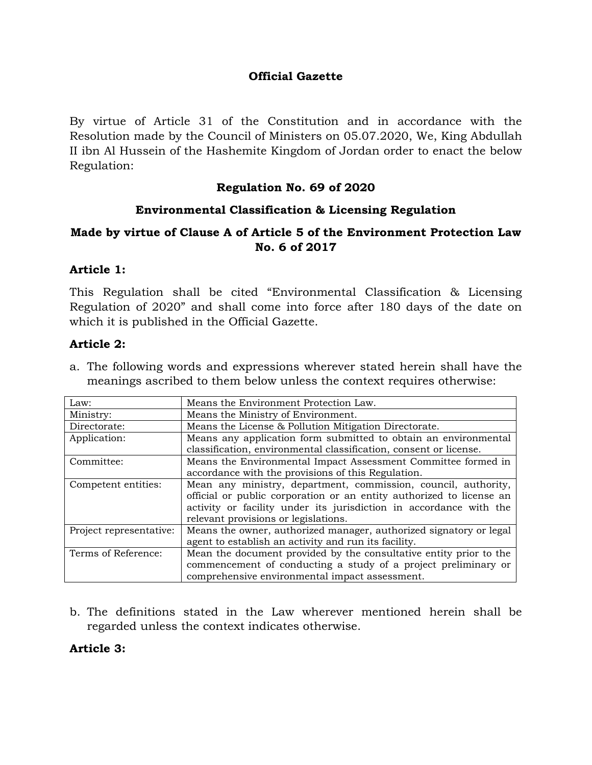### **Official Gazette**

By virtue of Article 31 of the Constitution and in accordance with the Resolution made by the Council of Ministers on 05.07.2020, We, King Abdullah II ibn Al Hussein of the Hashemite Kingdom of Jordan order to enact the below Regulation:

### **Regulation No. 69 of 2020**

### **Environmental Classification & Licensing Regulation**

### **Made by virtue of Clause A of Article 5 of the Environment Protection Law No. 6 of 2017**

### **Article 1:**

This Regulation shall be cited "Environmental Classification & Licensing Regulation of 2020" and shall come into force after 180 days of the date on which it is published in the Official Gazette.

### **Article 2:**

a. The following words and expressions wherever stated herein shall have the meanings ascribed to them below unless the context requires otherwise:

| Law:                    | Means the Environment Protection Law.                                |  |  |  |
|-------------------------|----------------------------------------------------------------------|--|--|--|
| Ministry:               | Means the Ministry of Environment.                                   |  |  |  |
| Directorate:            | Means the License & Pollution Mitigation Directorate.                |  |  |  |
| Application:            | Means any application form submitted to obtain an environmental      |  |  |  |
|                         | classification, environmental classification, consent or license.    |  |  |  |
| Committee:              | Means the Environmental Impact Assessment Committee formed in        |  |  |  |
|                         | accordance with the provisions of this Regulation.                   |  |  |  |
| Competent entities:     | Mean any ministry, department, commission, council, authority,       |  |  |  |
|                         | official or public corporation or an entity authorized to license an |  |  |  |
|                         | activity or facility under its jurisdiction in accordance with the   |  |  |  |
|                         | relevant provisions or legislations.                                 |  |  |  |
| Project representative: | Means the owner, authorized manager, authorized signatory or legal   |  |  |  |
|                         | agent to establish an activity and run its facility.                 |  |  |  |
| Terms of Reference:     | Mean the document provided by the consultative entity prior to the   |  |  |  |
|                         | commencement of conducting a study of a project preliminary or       |  |  |  |
|                         | comprehensive environmental impact assessment.                       |  |  |  |

b. The definitions stated in the Law wherever mentioned herein shall be regarded unless the context indicates otherwise.

### **Article 3:**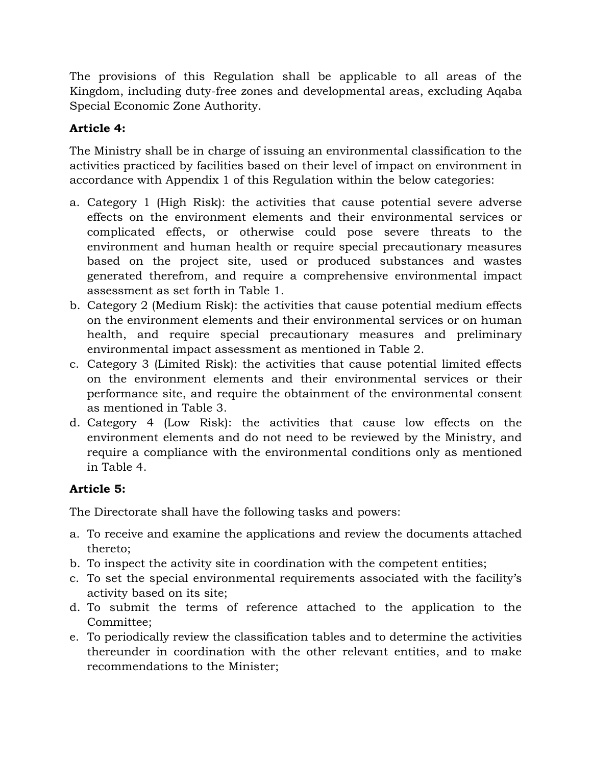The provisions of this Regulation shall be applicable to all areas of the Kingdom, including duty-free zones and developmental areas, excluding Aqaba Special Economic Zone Authority.

# **Article 4:**

The Ministry shall be in charge of issuing an environmental classification to the activities practiced by facilities based on their level of impact on environment in accordance with Appendix 1 of this Regulation within the below categories:

- a. Category 1 (High Risk): the activities that cause potential severe adverse effects on the environment elements and their environmental services or complicated effects, or otherwise could pose severe threats to the environment and human health or require special precautionary measures based on the project site, used or produced substances and wastes generated therefrom, and require a comprehensive environmental impact assessment as set forth in Table 1.
- b. Category 2 (Medium Risk): the activities that cause potential medium effects on the environment elements and their environmental services or on human health, and require special precautionary measures and preliminary environmental impact assessment as mentioned in Table 2.
- c. Category 3 (Limited Risk): the activities that cause potential limited effects on the environment elements and their environmental services or their performance site, and require the obtainment of the environmental consent as mentioned in Table 3.
- d. Category 4 (Low Risk): the activities that cause low effects on the environment elements and do not need to be reviewed by the Ministry, and require a compliance with the environmental conditions only as mentioned in Table 4.

# **Article 5:**

The Directorate shall have the following tasks and powers:

- a. To receive and examine the applications and review the documents attached thereto;
- b. To inspect the activity site in coordination with the competent entities;
- c. To set the special environmental requirements associated with the facility's activity based on its site;
- d. To submit the terms of reference attached to the application to the Committee;
- e. To periodically review the classification tables and to determine the activities thereunder in coordination with the other relevant entities, and to make recommendations to the Minister;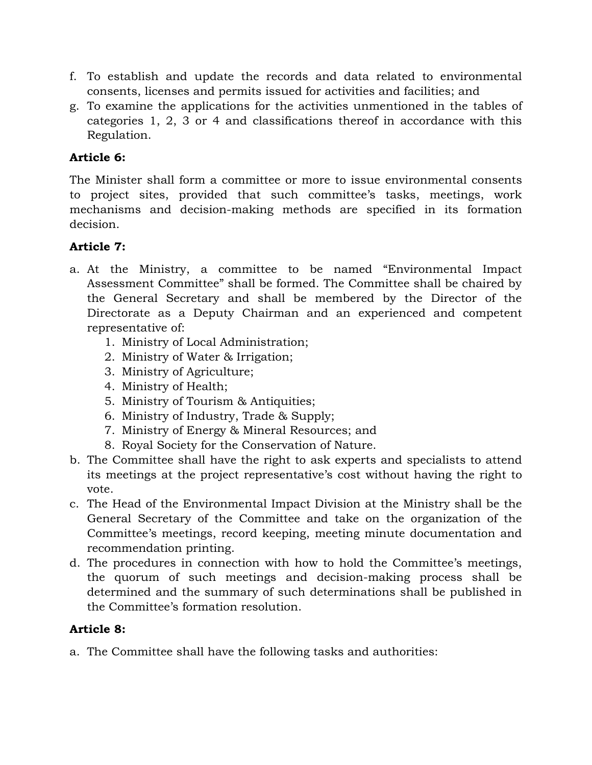- f. To establish and update the records and data related to environmental consents, licenses and permits issued for activities and facilities; and
- g. To examine the applications for the activities unmentioned in the tables of categories 1, 2, 3 or 4 and classifications thereof in accordance with this Regulation.

# **Article 6:**

The Minister shall form a committee or more to issue environmental consents to project sites, provided that such committee's tasks, meetings, work mechanisms and decision-making methods are specified in its formation decision.

### **Article 7:**

- a. At the Ministry, a committee to be named "Environmental Impact Assessment Committee" shall be formed. The Committee shall be chaired by the General Secretary and shall be membered by the Director of the Directorate as a Deputy Chairman and an experienced and competent representative of:
	- 1. Ministry of Local Administration;
	- 2. Ministry of Water & Irrigation;
	- 3. Ministry of Agriculture;
	- 4. Ministry of Health;
	- 5. Ministry of Tourism & Antiquities;
	- 6. Ministry of Industry, Trade & Supply;
	- 7. Ministry of Energy & Mineral Resources; and
	- 8. Royal Society for the Conservation of Nature.
- b. The Committee shall have the right to ask experts and specialists to attend its meetings at the project representative's cost without having the right to vote.
- c. The Head of the Environmental Impact Division at the Ministry shall be the General Secretary of the Committee and take on the organization of the Committee's meetings, record keeping, meeting minute documentation and recommendation printing.
- d. The procedures in connection with how to hold the Committee's meetings, the quorum of such meetings and decision-making process shall be determined and the summary of such determinations shall be published in the Committee's formation resolution.

### **Article 8:**

a. The Committee shall have the following tasks and authorities: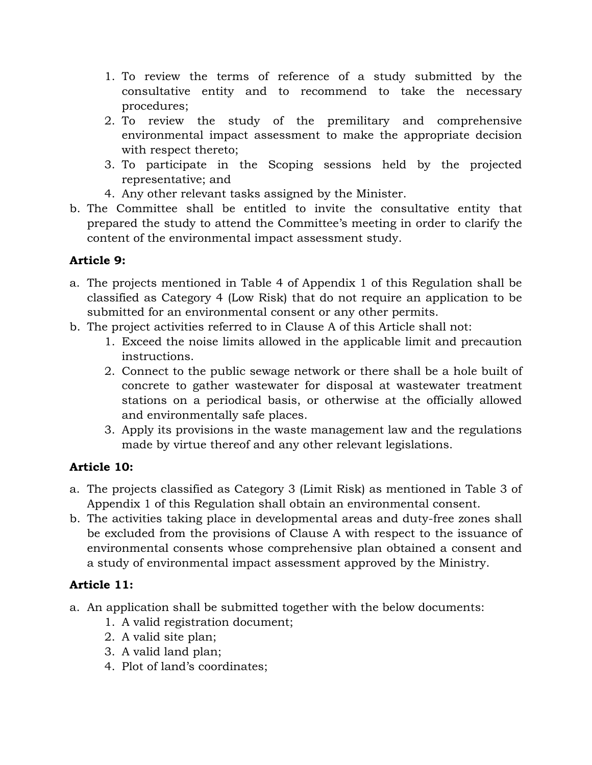- 1. To review the terms of reference of a study submitted by the consultative entity and to recommend to take the necessary procedures;
- 2. To review the study of the premilitary and comprehensive environmental impact assessment to make the appropriate decision with respect thereto;
- 3. To participate in the Scoping sessions held by the projected representative; and
- 4. Any other relevant tasks assigned by the Minister.
- b. The Committee shall be entitled to invite the consultative entity that prepared the study to attend the Committee's meeting in order to clarify the content of the environmental impact assessment study.

# **Article 9:**

- a. The projects mentioned in Table 4 of Appendix 1 of this Regulation shall be classified as Category 4 (Low Risk) that do not require an application to be submitted for an environmental consent or any other permits.
- b. The project activities referred to in Clause A of this Article shall not:
	- 1. Exceed the noise limits allowed in the applicable limit and precaution instructions.
	- 2. Connect to the public sewage network or there shall be a hole built of concrete to gather wastewater for disposal at wastewater treatment stations on a periodical basis, or otherwise at the officially allowed and environmentally safe places.
	- 3. Apply its provisions in the waste management law and the regulations made by virtue thereof and any other relevant legislations.

# **Article 10:**

- a. The projects classified as Category 3 (Limit Risk) as mentioned in Table 3 of Appendix 1 of this Regulation shall obtain an environmental consent.
- b. The activities taking place in developmental areas and duty-free zones shall be excluded from the provisions of Clause A with respect to the issuance of environmental consents whose comprehensive plan obtained a consent and a study of environmental impact assessment approved by the Ministry.

# **Article 11:**

- a. An application shall be submitted together with the below documents:
	- 1. A valid registration document;
	- 2. A valid site plan;
	- 3. A valid land plan;
	- 4. Plot of land's coordinates;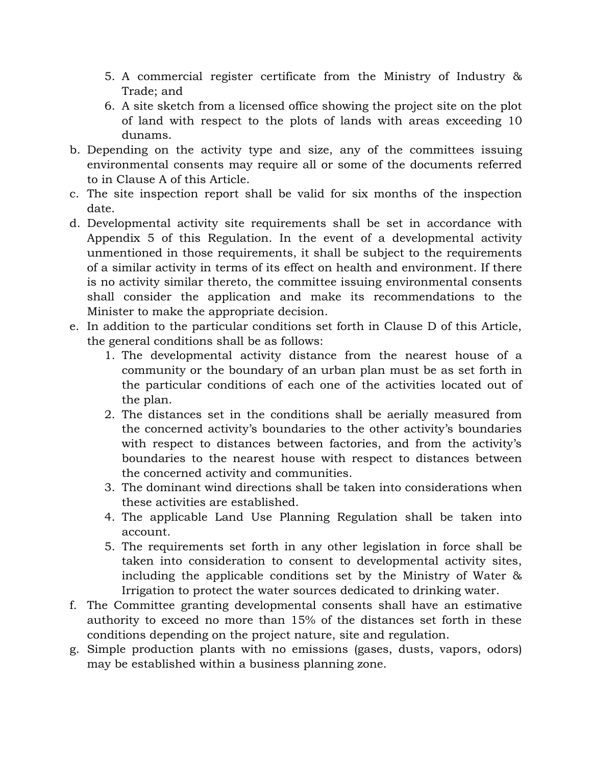- 5. A commercial register certificate from the Ministry of Industry & Trade; and
- 6. A site sketch from a licensed office showing the project site on the plot of land with respect to the plots of lands with areas exceeding 10 dunams.
- b. Depending on the activity type and size, any of the committees issuing environmental consents may require all or some of the documents referred to in Clause A of this Article.
- c. The site inspection report shall be valid for six months of the inspection date.
- d. Developmental activity site requirements shall be set in accordance with Appendix 5 of this Regulation. In the event of a developmental activity unmentioned in those requirements, it shall be subject to the requirements of a similar activity in terms of its effect on health and environment. If there is no activity similar thereto, the committee issuing environmental consents shall consider the application and make its recommendations to the Minister to make the appropriate decision.
- e. In addition to the particular conditions set forth in Clause D of this Article, the general conditions shall be as follows:
	- 1. The developmental activity distance from the nearest house of a community or the boundary of an urban plan must be as set forth in the particular conditions of each one of the activities located out of the plan.
	- 2. The distances set in the conditions shall be aerially measured from the concerned activity's boundaries to the other activity's boundaries with respect to distances between factories, and from the activity's boundaries to the nearest house with respect to distances between the concerned activity and communities.
	- 3. The dominant wind directions shall be taken into considerations when these activities are established.
	- 4. The applicable Land Use Planning Regulation shall be taken into account.
	- 5. The requirements set forth in any other legislation in force shall be taken into consideration to consent to developmental activity sites, including the applicable conditions set by the Ministry of Water & Irrigation to protect the water sources dedicated to drinking water.
- f. The Committee granting developmental consents shall have an estimative authority to exceed no more than 15% of the distances set forth in these conditions depending on the project nature, site and regulation.
- g. Simple production plants with no emissions (gases, dusts, vapors, odors) may be established within a business planning zone.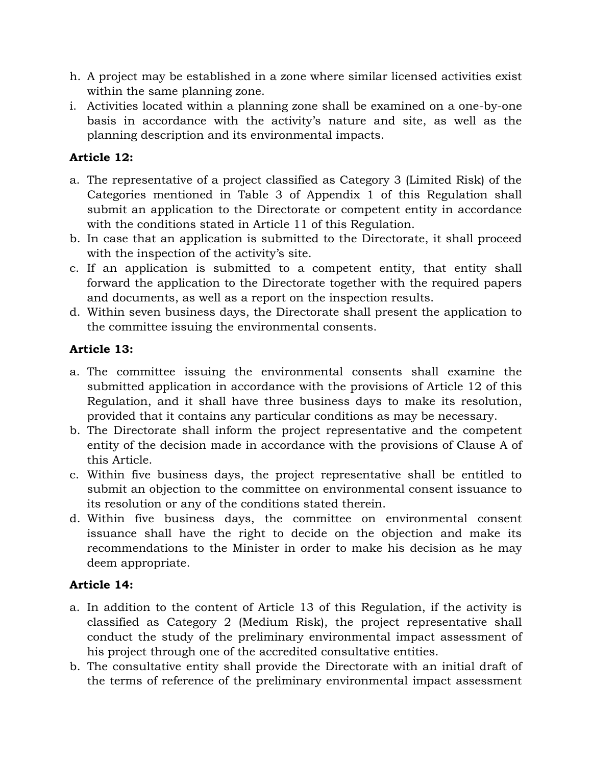- h. A project may be established in a zone where similar licensed activities exist within the same planning zone.
- i. Activities located within a planning zone shall be examined on a one-by-one basis in accordance with the activity's nature and site, as well as the planning description and its environmental impacts.

# **Article 12:**

- a. The representative of a project classified as Category 3 (Limited Risk) of the Categories mentioned in Table 3 of Appendix 1 of this Regulation shall submit an application to the Directorate or competent entity in accordance with the conditions stated in Article 11 of this Regulation.
- b. In case that an application is submitted to the Directorate, it shall proceed with the inspection of the activity's site.
- c. If an application is submitted to a competent entity, that entity shall forward the application to the Directorate together with the required papers and documents, as well as a report on the inspection results.
- d. Within seven business days, the Directorate shall present the application to the committee issuing the environmental consents.

# **Article 13:**

- a. The committee issuing the environmental consents shall examine the submitted application in accordance with the provisions of Article 12 of this Regulation, and it shall have three business days to make its resolution, provided that it contains any particular conditions as may be necessary.
- b. The Directorate shall inform the project representative and the competent entity of the decision made in accordance with the provisions of Clause A of this Article.
- c. Within five business days, the project representative shall be entitled to submit an objection to the committee on environmental consent issuance to its resolution or any of the conditions stated therein.
- d. Within five business days, the committee on environmental consent issuance shall have the right to decide on the objection and make its recommendations to the Minister in order to make his decision as he may deem appropriate.

# **Article 14:**

- a. In addition to the content of Article 13 of this Regulation, if the activity is classified as Category 2 (Medium Risk), the project representative shall conduct the study of the preliminary environmental impact assessment of his project through one of the accredited consultative entities.
- b. The consultative entity shall provide the Directorate with an initial draft of the terms of reference of the preliminary environmental impact assessment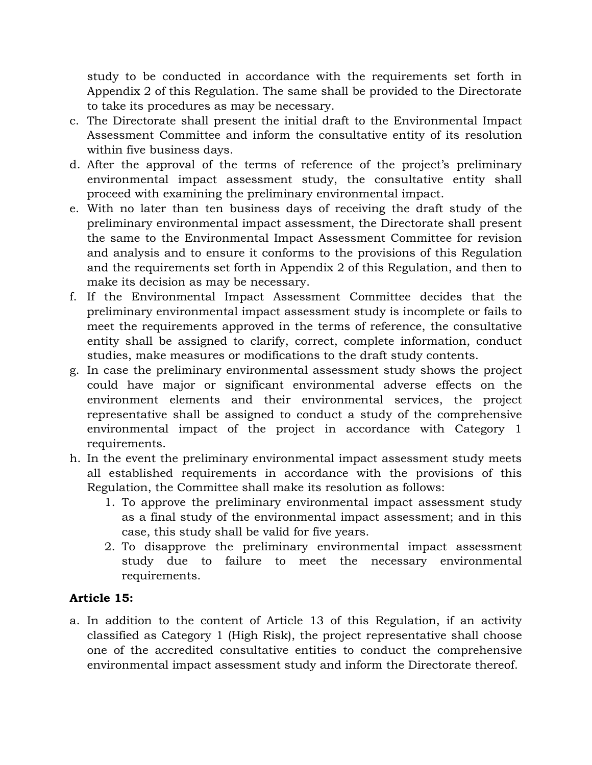study to be conducted in accordance with the requirements set forth in Appendix 2 of this Regulation. The same shall be provided to the Directorate to take its procedures as may be necessary.

- c. The Directorate shall present the initial draft to the Environmental Impact Assessment Committee and inform the consultative entity of its resolution within five business days.
- d. After the approval of the terms of reference of the project's preliminary environmental impact assessment study, the consultative entity shall proceed with examining the preliminary environmental impact.
- e. With no later than ten business days of receiving the draft study of the preliminary environmental impact assessment, the Directorate shall present the same to the Environmental Impact Assessment Committee for revision and analysis and to ensure it conforms to the provisions of this Regulation and the requirements set forth in Appendix 2 of this Regulation, and then to make its decision as may be necessary.
- f. If the Environmental Impact Assessment Committee decides that the preliminary environmental impact assessment study is incomplete or fails to meet the requirements approved in the terms of reference, the consultative entity shall be assigned to clarify, correct, complete information, conduct studies, make measures or modifications to the draft study contents.
- g. In case the preliminary environmental assessment study shows the project could have major or significant environmental adverse effects on the environment elements and their environmental services, the project representative shall be assigned to conduct a study of the comprehensive environmental impact of the project in accordance with Category 1 requirements.
- h. In the event the preliminary environmental impact assessment study meets all established requirements in accordance with the provisions of this Regulation, the Committee shall make its resolution as follows:
	- 1. To approve the preliminary environmental impact assessment study as a final study of the environmental impact assessment; and in this case, this study shall be valid for five years.
	- 2. To disapprove the preliminary environmental impact assessment study due to failure to meet the necessary environmental requirements.

# **Article 15:**

a. In addition to the content of Article 13 of this Regulation, if an activity classified as Category 1 (High Risk), the project representative shall choose one of the accredited consultative entities to conduct the comprehensive environmental impact assessment study and inform the Directorate thereof.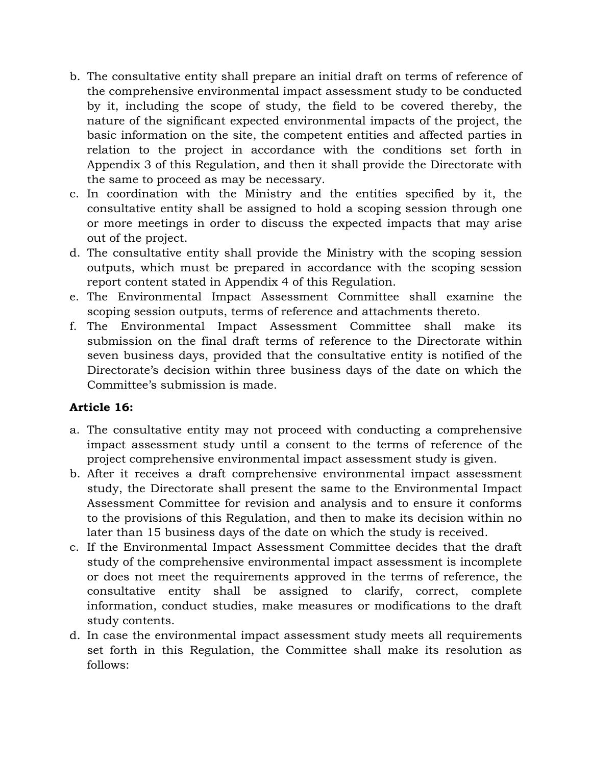- b. The consultative entity shall prepare an initial draft on terms of reference of the comprehensive environmental impact assessment study to be conducted by it, including the scope of study, the field to be covered thereby, the nature of the significant expected environmental impacts of the project, the basic information on the site, the competent entities and affected parties in relation to the project in accordance with the conditions set forth in Appendix 3 of this Regulation, and then it shall provide the Directorate with the same to proceed as may be necessary.
- c. In coordination with the Ministry and the entities specified by it, the consultative entity shall be assigned to hold a scoping session through one or more meetings in order to discuss the expected impacts that may arise out of the project.
- d. The consultative entity shall provide the Ministry with the scoping session outputs, which must be prepared in accordance with the scoping session report content stated in Appendix 4 of this Regulation.
- e. The Environmental Impact Assessment Committee shall examine the scoping session outputs, terms of reference and attachments thereto.
- f. The Environmental Impact Assessment Committee shall make its submission on the final draft terms of reference to the Directorate within seven business days, provided that the consultative entity is notified of the Directorate's decision within three business days of the date on which the Committee's submission is made.

### **Article 16:**

- a. The consultative entity may not proceed with conducting a comprehensive impact assessment study until a consent to the terms of reference of the project comprehensive environmental impact assessment study is given.
- b. After it receives a draft comprehensive environmental impact assessment study, the Directorate shall present the same to the Environmental Impact Assessment Committee for revision and analysis and to ensure it conforms to the provisions of this Regulation, and then to make its decision within no later than 15 business days of the date on which the study is received.
- c. If the Environmental Impact Assessment Committee decides that the draft study of the comprehensive environmental impact assessment is incomplete or does not meet the requirements approved in the terms of reference, the consultative entity shall be assigned to clarify, correct, complete information, conduct studies, make measures or modifications to the draft study contents.
- d. In case the environmental impact assessment study meets all requirements set forth in this Regulation, the Committee shall make its resolution as follows: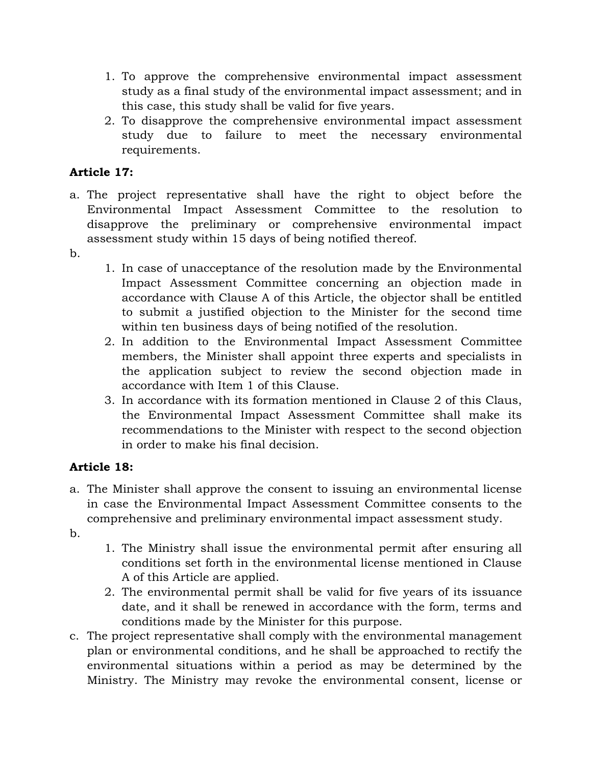- 1. To approve the comprehensive environmental impact assessment study as a final study of the environmental impact assessment; and in this case, this study shall be valid for five years.
- 2. To disapprove the comprehensive environmental impact assessment study due to failure to meet the necessary environmental requirements.

# **Article 17:**

- a. The project representative shall have the right to object before the Environmental Impact Assessment Committee to the resolution to disapprove the preliminary or comprehensive environmental impact assessment study within 15 days of being notified thereof.
- $h_{\alpha}$
- 1. In case of unacceptance of the resolution made by the Environmental Impact Assessment Committee concerning an objection made in accordance with Clause A of this Article, the objector shall be entitled to submit a justified objection to the Minister for the second time within ten business days of being notified of the resolution.
- 2. In addition to the Environmental Impact Assessment Committee members, the Minister shall appoint three experts and specialists in the application subject to review the second objection made in accordance with Item 1 of this Clause.
- 3. In accordance with its formation mentioned in Clause 2 of this Claus, the Environmental Impact Assessment Committee shall make its recommendations to the Minister with respect to the second objection in order to make his final decision.

# **Article 18:**

- a. The Minister shall approve the consent to issuing an environmental license in case the Environmental Impact Assessment Committee consents to the comprehensive and preliminary environmental impact assessment study.
- b.
- 1. The Ministry shall issue the environmental permit after ensuring all conditions set forth in the environmental license mentioned in Clause A of this Article are applied.
- 2. The environmental permit shall be valid for five years of its issuance date, and it shall be renewed in accordance with the form, terms and conditions made by the Minister for this purpose.
- c. The project representative shall comply with the environmental management plan or environmental conditions, and he shall be approached to rectify the environmental situations within a period as may be determined by the Ministry. The Ministry may revoke the environmental consent, license or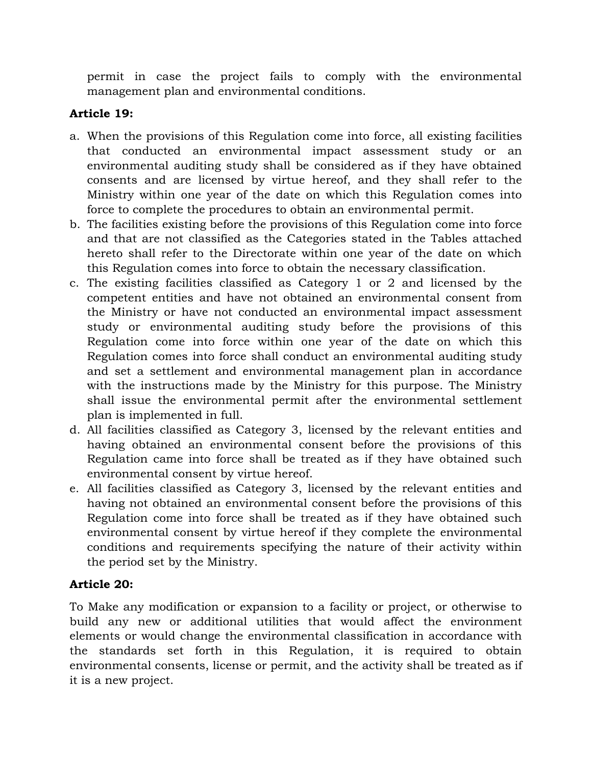permit in case the project fails to comply with the environmental management plan and environmental conditions.

# **Article 19:**

- a. When the provisions of this Regulation come into force, all existing facilities that conducted an environmental impact assessment study or an environmental auditing study shall be considered as if they have obtained consents and are licensed by virtue hereof, and they shall refer to the Ministry within one year of the date on which this Regulation comes into force to complete the procedures to obtain an environmental permit.
- b. The facilities existing before the provisions of this Regulation come into force and that are not classified as the Categories stated in the Tables attached hereto shall refer to the Directorate within one year of the date on which this Regulation comes into force to obtain the necessary classification.
- c. The existing facilities classified as Category 1 or 2 and licensed by the competent entities and have not obtained an environmental consent from the Ministry or have not conducted an environmental impact assessment study or environmental auditing study before the provisions of this Regulation come into force within one year of the date on which this Regulation comes into force shall conduct an environmental auditing study and set a settlement and environmental management plan in accordance with the instructions made by the Ministry for this purpose. The Ministry shall issue the environmental permit after the environmental settlement plan is implemented in full.
- d. All facilities classified as Category 3, licensed by the relevant entities and having obtained an environmental consent before the provisions of this Regulation came into force shall be treated as if they have obtained such environmental consent by virtue hereof.
- e. All facilities classified as Category 3, licensed by the relevant entities and having not obtained an environmental consent before the provisions of this Regulation come into force shall be treated as if they have obtained such environmental consent by virtue hereof if they complete the environmental conditions and requirements specifying the nature of their activity within the period set by the Ministry.

# **Article 20:**

To Make any modification or expansion to a facility or project, or otherwise to build any new or additional utilities that would affect the environment elements or would change the environmental classification in accordance with the standards set forth in this Regulation, it is required to obtain environmental consents, license or permit, and the activity shall be treated as if it is a new project.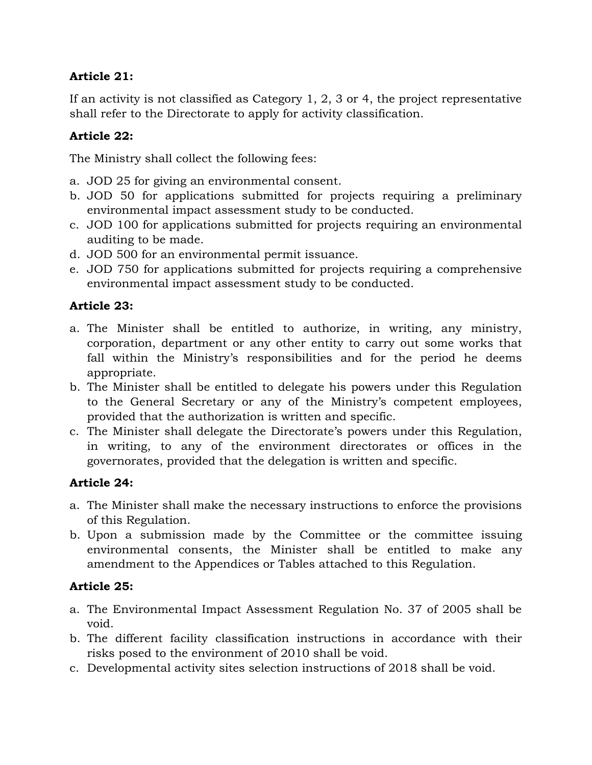# **Article 21:**

If an activity is not classified as Category 1, 2, 3 or 4, the project representative shall refer to the Directorate to apply for activity classification.

### **Article 22:**

The Ministry shall collect the following fees:

- a. JOD 25 for giving an environmental consent.
- b. JOD 50 for applications submitted for projects requiring a preliminary environmental impact assessment study to be conducted.
- c. JOD 100 for applications submitted for projects requiring an environmental auditing to be made.
- d. JOD 500 for an environmental permit issuance.
- e. JOD 750 for applications submitted for projects requiring a comprehensive environmental impact assessment study to be conducted.

# **Article 23:**

- a. The Minister shall be entitled to authorize, in writing, any ministry, corporation, department or any other entity to carry out some works that fall within the Ministry's responsibilities and for the period he deems appropriate.
- b. The Minister shall be entitled to delegate his powers under this Regulation to the General Secretary or any of the Ministry's competent employees, provided that the authorization is written and specific.
- c. The Minister shall delegate the Directorate's powers under this Regulation, in writing, to any of the environment directorates or offices in the governorates, provided that the delegation is written and specific.

# **Article 24:**

- a. The Minister shall make the necessary instructions to enforce the provisions of this Regulation.
- b. Upon a submission made by the Committee or the committee issuing environmental consents, the Minister shall be entitled to make any amendment to the Appendices or Tables attached to this Regulation.

# **Article 25:**

- a. The Environmental Impact Assessment Regulation No. 37 of 2005 shall be void.
- b. The different facility classification instructions in accordance with their risks posed to the environment of 2010 shall be void.
- c. Developmental activity sites selection instructions of 2018 shall be void.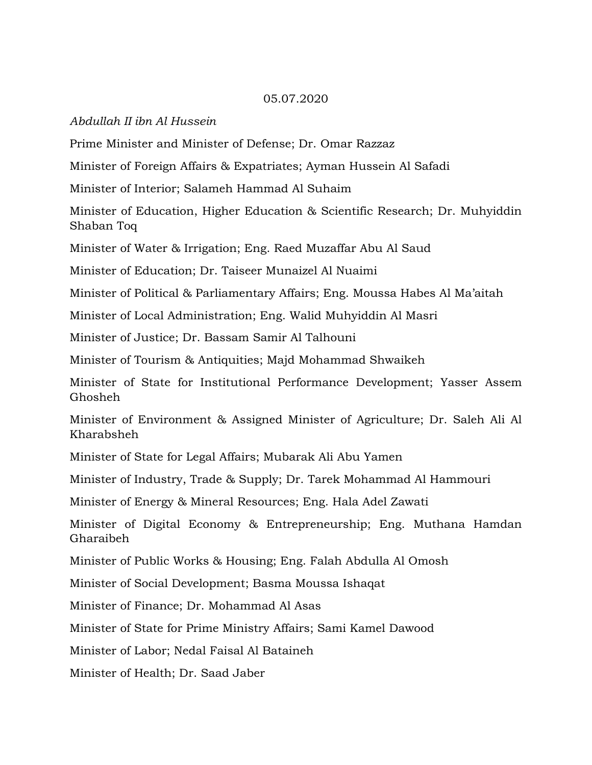#### 05.07.2020

#### *Abdullah II ibn Al Hussein*

Prime Minister and Minister of Defense; Dr. Omar Razzaz

Minister of Foreign Affairs & Expatriates; Ayman Hussein Al Safadi

Minister of Interior; Salameh Hammad Al Suhaim

Minister of Education, Higher Education & Scientific Research; Dr. Muhyiddin Shaban Toq

Minister of Water & Irrigation; Eng. Raed Muzaffar Abu Al Saud

Minister of Education; Dr. Taiseer Munaizel Al Nuaimi

Minister of Political & Parliamentary Affairs; Eng. Moussa Habes Al Ma'aitah

Minister of Local Administration; Eng. Walid Muhyiddin Al Masri

Minister of Justice; Dr. Bassam Samir Al Talhouni

Minister of Tourism & Antiquities; Majd Mohammad Shwaikeh

Minister of State for Institutional Performance Development; Yasser Assem Ghosheh

Minister of Environment & Assigned Minister of Agriculture; Dr. Saleh Ali Al Kharabsheh

Minister of State for Legal Affairs; Mubarak Ali Abu Yamen

Minister of Industry, Trade & Supply; Dr. Tarek Mohammad Al Hammouri

Minister of Energy & Mineral Resources; Eng. Hala Adel Zawati

Minister of Digital Economy & Entrepreneurship; Eng. Muthana Hamdan Gharaibeh

Minister of Public Works & Housing; Eng. Falah Abdulla Al Omosh

Minister of Social Development; Basma Moussa Ishaqat

Minister of Finance; Dr. Mohammad Al Asas

Minister of State for Prime Ministry Affairs; Sami Kamel Dawood

Minister of Labor; Nedal Faisal Al Bataineh

Minister of Health; Dr. Saad Jaber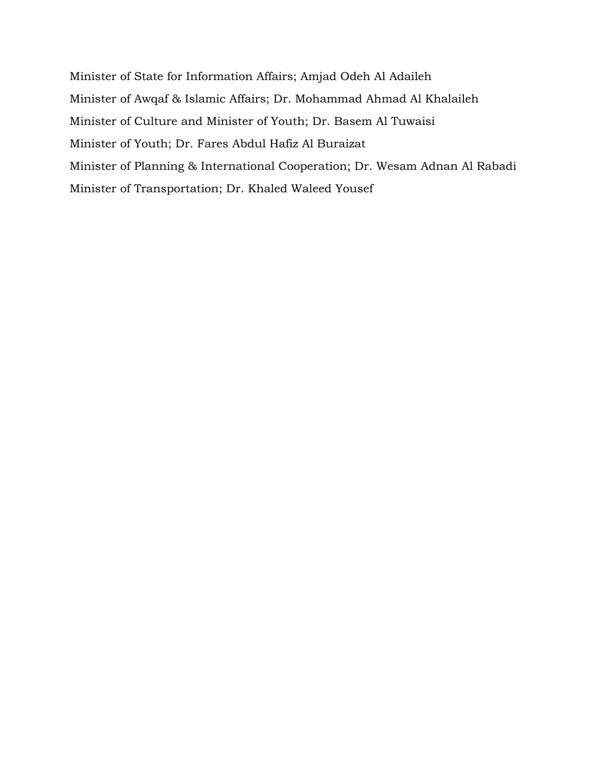Minister of State for Information Affairs; Amjad Odeh Al Adaileh Minister of Awqaf & Islamic Affairs; Dr. Mohammad Ahmad Al Khalaileh Minister of Culture and Minister of Youth; Dr. Basem Al Tuwaisi Minister of Youth; Dr. Fares Abdul Hafiz Al Buraizat Minister of Planning & International Cooperation; Dr. Wesam Adnan Al Rabadi Minister of Transportation; Dr. Khaled Waleed Yousef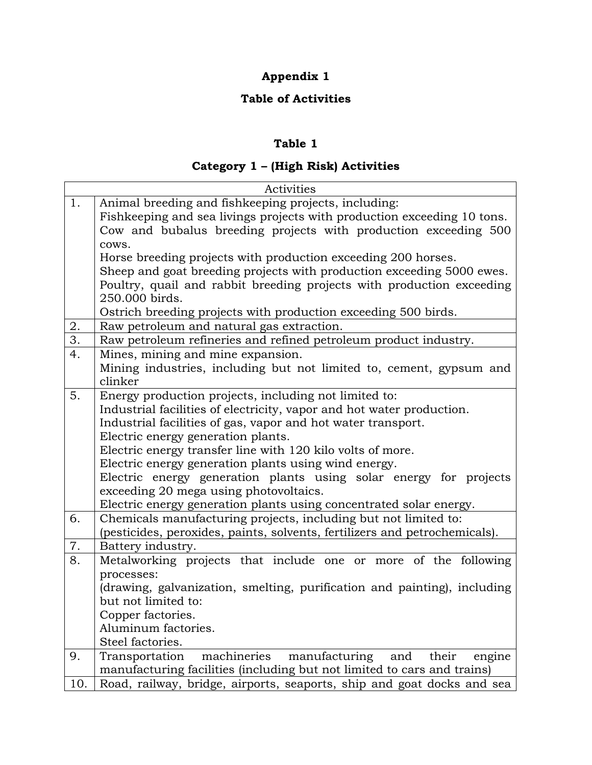# **Appendix 1**

# **Table of Activities**

# **Table 1**

# **Category 1 – (High Risk) Activities**

|                  | Activities                                                                                                                                                                                                                                                                                                                                                                                                                                                                                                                                      |  |  |  |  |
|------------------|-------------------------------------------------------------------------------------------------------------------------------------------------------------------------------------------------------------------------------------------------------------------------------------------------------------------------------------------------------------------------------------------------------------------------------------------------------------------------------------------------------------------------------------------------|--|--|--|--|
| 1.               | Animal breeding and fishkeeping projects, including:<br>Fishkeeping and sea livings projects with production exceeding 10 tons.<br>Cow and bubalus breeding projects with production exceeding 500                                                                                                                                                                                                                                                                                                                                              |  |  |  |  |
|                  | cows.<br>Horse breeding projects with production exceeding 200 horses.<br>Sheep and goat breeding projects with production exceeding 5000 ewes.<br>Poultry, quail and rabbit breeding projects with production exceeding<br>250.000 birds.                                                                                                                                                                                                                                                                                                      |  |  |  |  |
| 2.               | Ostrich breeding projects with production exceeding 500 birds.<br>Raw petroleum and natural gas extraction.                                                                                                                                                                                                                                                                                                                                                                                                                                     |  |  |  |  |
| $\overline{3}$ . | Raw petroleum refineries and refined petroleum product industry.                                                                                                                                                                                                                                                                                                                                                                                                                                                                                |  |  |  |  |
| 4.               | Mines, mining and mine expansion.<br>Mining industries, including but not limited to, cement, gypsum and<br>clinker                                                                                                                                                                                                                                                                                                                                                                                                                             |  |  |  |  |
| 5.               | Energy production projects, including not limited to:<br>Industrial facilities of electricity, vapor and hot water production.<br>Industrial facilities of gas, vapor and hot water transport.<br>Electric energy generation plants.<br>Electric energy transfer line with 120 kilo volts of more.<br>Electric energy generation plants using wind energy.<br>Electric energy generation plants using solar energy for projects<br>exceeding 20 mega using photovoltaics.<br>Electric energy generation plants using concentrated solar energy. |  |  |  |  |
| 6.               | Chemicals manufacturing projects, including but not limited to:<br>(pesticides, peroxides, paints, solvents, fertilizers and petrochemicals).                                                                                                                                                                                                                                                                                                                                                                                                   |  |  |  |  |
| 7.               | Battery industry.                                                                                                                                                                                                                                                                                                                                                                                                                                                                                                                               |  |  |  |  |
| 8.               | Metalworking projects that include one or more of the following<br>processes:<br>(drawing, galvanization, smelting, purification and painting), including<br>but not limited to:<br>Copper factories.<br>Aluminum factories.<br>Steel factories.                                                                                                                                                                                                                                                                                                |  |  |  |  |
| 9.               | machineries<br>Transportation<br>manufacturing<br>and<br>their<br>engine<br>manufacturing facilities (including but not limited to cars and trains)                                                                                                                                                                                                                                                                                                                                                                                             |  |  |  |  |
| 10.              | Road, railway, bridge, airports, seaports, ship and goat docks and sea                                                                                                                                                                                                                                                                                                                                                                                                                                                                          |  |  |  |  |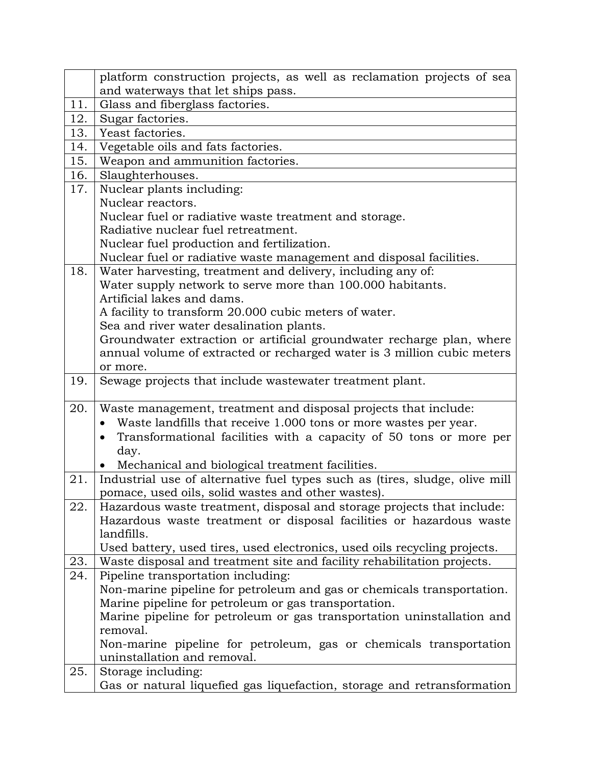|     | platform construction projects, as well as reclamation projects of sea      |  |  |  |  |
|-----|-----------------------------------------------------------------------------|--|--|--|--|
|     | and waterways that let ships pass.                                          |  |  |  |  |
| 11. | Glass and fiberglass factories.                                             |  |  |  |  |
| 12. | Sugar factories.                                                            |  |  |  |  |
| 13. | Yeast factories.                                                            |  |  |  |  |
| 14. | Vegetable oils and fats factories.                                          |  |  |  |  |
| 15. | Weapon and ammunition factories.                                            |  |  |  |  |
| 16. | Slaughterhouses.                                                            |  |  |  |  |
| 17. | Nuclear plants including:                                                   |  |  |  |  |
|     | Nuclear reactors.                                                           |  |  |  |  |
|     | Nuclear fuel or radiative waste treatment and storage.                      |  |  |  |  |
|     | Radiative nuclear fuel retreatment.                                         |  |  |  |  |
|     | Nuclear fuel production and fertilization.                                  |  |  |  |  |
|     | Nuclear fuel or radiative waste management and disposal facilities.         |  |  |  |  |
| 18. | Water harvesting, treatment and delivery, including any of:                 |  |  |  |  |
|     | Water supply network to serve more than 100.000 habitants.                  |  |  |  |  |
|     | Artificial lakes and dams.                                                  |  |  |  |  |
|     | A facility to transform 20.000 cubic meters of water.                       |  |  |  |  |
|     | Sea and river water desalination plants.                                    |  |  |  |  |
|     | Groundwater extraction or artificial groundwater recharge plan, where       |  |  |  |  |
|     | annual volume of extracted or recharged water is 3 million cubic meters     |  |  |  |  |
|     | or more.                                                                    |  |  |  |  |
| 19. | Sewage projects that include wastewater treatment plant.                    |  |  |  |  |
| 20. | Waste management, treatment and disposal projects that include:             |  |  |  |  |
|     | Waste landfills that receive 1.000 tons or more wastes per year.            |  |  |  |  |
|     | Transformational facilities with a capacity of 50 tons or more per          |  |  |  |  |
|     | day.                                                                        |  |  |  |  |
|     | Mechanical and biological treatment facilities.                             |  |  |  |  |
| 21. | Industrial use of alternative fuel types such as (tires, sludge, olive mill |  |  |  |  |
|     | pomace, used oils, solid wastes and other wastes).                          |  |  |  |  |
| 22. | Hazardous waste treatment, disposal and storage projects that include:      |  |  |  |  |
|     | Hazardous waste treatment or disposal facilities or hazardous waste         |  |  |  |  |
|     | landfills.                                                                  |  |  |  |  |
|     | Used battery, used tires, used electronics, used oils recycling projects.   |  |  |  |  |
| 23. | Waste disposal and treatment site and facility rehabilitation projects.     |  |  |  |  |
| 24. | Pipeline transportation including:                                          |  |  |  |  |
|     | Non-marine pipeline for petroleum and gas or chemicals transportation.      |  |  |  |  |
|     | Marine pipeline for petroleum or gas transportation.                        |  |  |  |  |
|     | Marine pipeline for petroleum or gas transportation uninstallation and      |  |  |  |  |
|     | removal.                                                                    |  |  |  |  |
|     | Non-marine pipeline for petroleum, gas or chemicals transportation          |  |  |  |  |
|     | uninstallation and removal.                                                 |  |  |  |  |
| 25. | Storage including:                                                          |  |  |  |  |
|     | Gas or natural liquefied gas liquefaction, storage and retransformation     |  |  |  |  |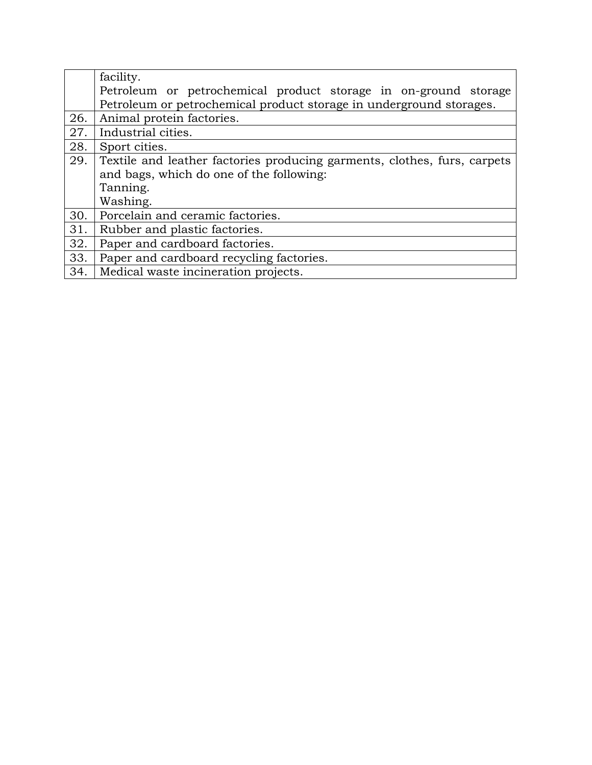|     | facility.                                                                |  |  |  |  |  |
|-----|--------------------------------------------------------------------------|--|--|--|--|--|
|     | Petroleum or petrochemical product storage in on-ground storage          |  |  |  |  |  |
|     | Petroleum or petrochemical product storage in underground storages.      |  |  |  |  |  |
| 26. | Animal protein factories.                                                |  |  |  |  |  |
| 27. | Industrial cities.                                                       |  |  |  |  |  |
| 28. | Sport cities.                                                            |  |  |  |  |  |
| 29. | Textile and leather factories producing garments, clothes, furs, carpets |  |  |  |  |  |
|     | and bags, which do one of the following:                                 |  |  |  |  |  |
|     | Tanning.                                                                 |  |  |  |  |  |
|     | Washing.                                                                 |  |  |  |  |  |
| 30. | Porcelain and ceramic factories.                                         |  |  |  |  |  |
| 31. | Rubber and plastic factories.                                            |  |  |  |  |  |
| 32. | Paper and cardboard factories.                                           |  |  |  |  |  |
| 33. | Paper and cardboard recycling factories.                                 |  |  |  |  |  |
| 34. | Medical waste incineration projects.                                     |  |  |  |  |  |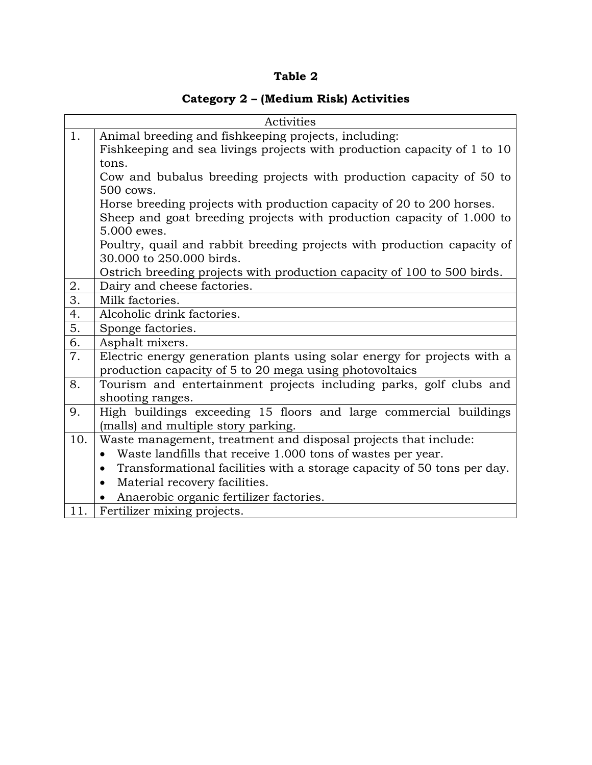### **Table 2**

# **Category 2 – (Medium Risk) Activities**

| Activities       |                                                                                      |  |  |  |  |  |  |
|------------------|--------------------------------------------------------------------------------------|--|--|--|--|--|--|
| 1.               | Animal breeding and fishkeeping projects, including:                                 |  |  |  |  |  |  |
|                  | Fishkeeping and sea livings projects with production capacity of 1 to 10             |  |  |  |  |  |  |
|                  | tons.                                                                                |  |  |  |  |  |  |
|                  | Cow and bubalus breeding projects with production capacity of 50 to                  |  |  |  |  |  |  |
|                  | 500 cows.                                                                            |  |  |  |  |  |  |
|                  | Horse breeding projects with production capacity of 20 to 200 horses.                |  |  |  |  |  |  |
|                  | Sheep and goat breeding projects with production capacity of 1.000 to                |  |  |  |  |  |  |
|                  | 5.000 ewes.                                                                          |  |  |  |  |  |  |
|                  | Poultry, quail and rabbit breeding projects with production capacity of              |  |  |  |  |  |  |
|                  | 30.000 to 250.000 birds.                                                             |  |  |  |  |  |  |
|                  | Ostrich breeding projects with production capacity of 100 to 500 birds.              |  |  |  |  |  |  |
| 2.               | Dairy and cheese factories.                                                          |  |  |  |  |  |  |
| $\overline{3}$ . | Milk factories.                                                                      |  |  |  |  |  |  |
| 4.               | Alcoholic drink factories.                                                           |  |  |  |  |  |  |
| 5.               | Sponge factories.                                                                    |  |  |  |  |  |  |
| 6.               | Asphalt mixers.                                                                      |  |  |  |  |  |  |
| 7.               | Electric energy generation plants using solar energy for projects with a             |  |  |  |  |  |  |
|                  | production capacity of 5 to 20 mega using photovoltaics                              |  |  |  |  |  |  |
| 8.               | Tourism and entertainment projects including parks, golf clubs and                   |  |  |  |  |  |  |
|                  | shooting ranges.                                                                     |  |  |  |  |  |  |
| 9.               | High buildings exceeding 15 floors and large commercial buildings                    |  |  |  |  |  |  |
|                  | (malls) and multiple story parking.                                                  |  |  |  |  |  |  |
| 10.              | Waste management, treatment and disposal projects that include:                      |  |  |  |  |  |  |
|                  | Waste landfills that receive 1.000 tons of wastes per year.<br>$\bullet$             |  |  |  |  |  |  |
|                  | Transformational facilities with a storage capacity of 50 tons per day.<br>$\bullet$ |  |  |  |  |  |  |
|                  | Material recovery facilities.<br>$\bullet$                                           |  |  |  |  |  |  |
|                  | Anaerobic organic fertilizer factories.                                              |  |  |  |  |  |  |
|                  | 11.   Fertilizer mixing projects.                                                    |  |  |  |  |  |  |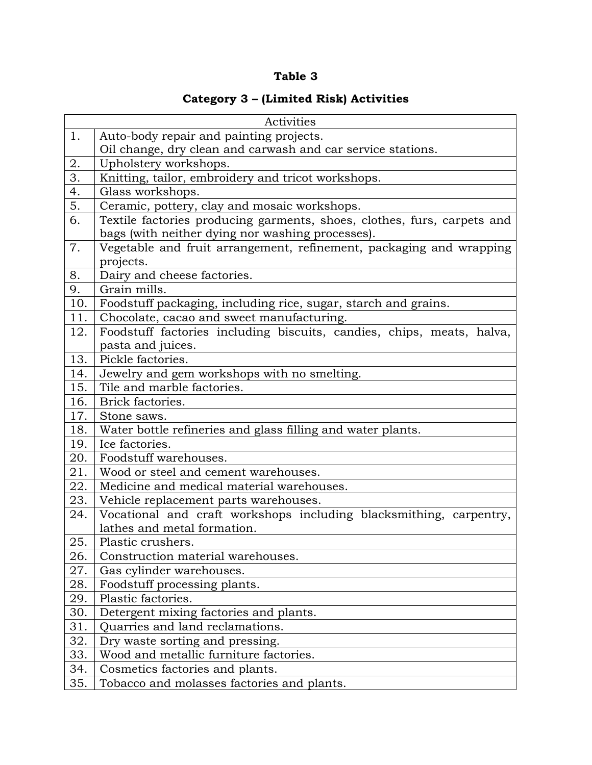# **Table 3**

# **Category 3 – (Limited Risk) Activities**

| Activities       |                                                                         |  |  |  |  |
|------------------|-------------------------------------------------------------------------|--|--|--|--|
| 1.               | Auto-body repair and painting projects.                                 |  |  |  |  |
|                  | Oil change, dry clean and carwash and car service stations.             |  |  |  |  |
| 2.               | Upholstery workshops.                                                   |  |  |  |  |
| $\overline{3}$ . | Knitting, tailor, embroidery and tricot workshops.                      |  |  |  |  |
| 4.               | Glass workshops.                                                        |  |  |  |  |
| 5.               | Ceramic, pottery, clay and mosaic workshops.                            |  |  |  |  |
| 6.               | Textile factories producing garments, shoes, clothes, furs, carpets and |  |  |  |  |
|                  | bags (with neither dying nor washing processes).                        |  |  |  |  |
| 7.               | Vegetable and fruit arrangement, refinement, packaging and wrapping     |  |  |  |  |
|                  | projects.                                                               |  |  |  |  |
| 8.               | Dairy and cheese factories.                                             |  |  |  |  |
| 9.               | Grain mills.                                                            |  |  |  |  |
| 10.              | Foodstuff packaging, including rice, sugar, starch and grains.          |  |  |  |  |
| 11.              | Chocolate, cacao and sweet manufacturing.                               |  |  |  |  |
| 12.              | Foodstuff factories including biscuits, candies, chips, meats, halva,   |  |  |  |  |
|                  | pasta and juices.                                                       |  |  |  |  |
| 13.              | Pickle factories.                                                       |  |  |  |  |
| 14.              | Jewelry and gem workshops with no smelting.                             |  |  |  |  |
| 15.              | Tile and marble factories.                                              |  |  |  |  |
| 16.              | Brick factories.                                                        |  |  |  |  |
| 17.              | Stone saws.                                                             |  |  |  |  |
| 18.              | Water bottle refineries and glass filling and water plants.             |  |  |  |  |
| 19.              | Ice factories.                                                          |  |  |  |  |
| 20.              | Foodstuff warehouses.                                                   |  |  |  |  |
| 21.              | Wood or steel and cement warehouses.                                    |  |  |  |  |
| 22.              | Medicine and medical material warehouses.                               |  |  |  |  |
| 23.              | Vehicle replacement parts warehouses.                                   |  |  |  |  |
| 24.              | Vocational and craft workshops including blacksmithing, carpentry,      |  |  |  |  |
|                  | lathes and metal formation.                                             |  |  |  |  |
| 25.              | Plastic crushers.                                                       |  |  |  |  |
| 26.              | Construction material warehouses.                                       |  |  |  |  |
| 27.              | Gas cylinder warehouses.                                                |  |  |  |  |
| 28.              | Foodstuff processing plants.                                            |  |  |  |  |
| 29.              | Plastic factories.                                                      |  |  |  |  |
| 30.              | Detergent mixing factories and plants.                                  |  |  |  |  |
| 31.              | Quarries and land reclamations.                                         |  |  |  |  |
| 32.              | Dry waste sorting and pressing.                                         |  |  |  |  |
| 33.              | Wood and metallic furniture factories.                                  |  |  |  |  |
| 34.              | Cosmetics factories and plants.                                         |  |  |  |  |
| 35.              | Tobacco and molasses factories and plants.                              |  |  |  |  |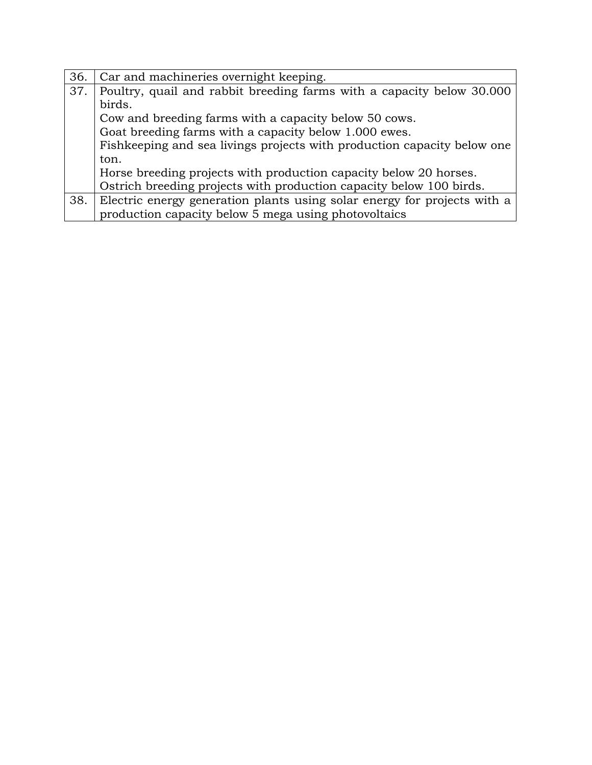| 36. | Car and machineries overnight keeping.                                   |  |  |  |  |
|-----|--------------------------------------------------------------------------|--|--|--|--|
| 37. | Poultry, quail and rabbit breeding farms with a capacity below 30.000    |  |  |  |  |
|     | birds.                                                                   |  |  |  |  |
|     | Cow and breeding farms with a capacity below 50 cows.                    |  |  |  |  |
|     | Goat breeding farms with a capacity below 1.000 ewes.                    |  |  |  |  |
|     | Fishkeeping and sea livings projects with production capacity below one  |  |  |  |  |
|     | ton.                                                                     |  |  |  |  |
|     | Horse breeding projects with production capacity below 20 horses.        |  |  |  |  |
|     | Ostrich breeding projects with production capacity below 100 birds.      |  |  |  |  |
| 38. | Electric energy generation plants using solar energy for projects with a |  |  |  |  |
|     | production capacity below 5 mega using photovoltaics                     |  |  |  |  |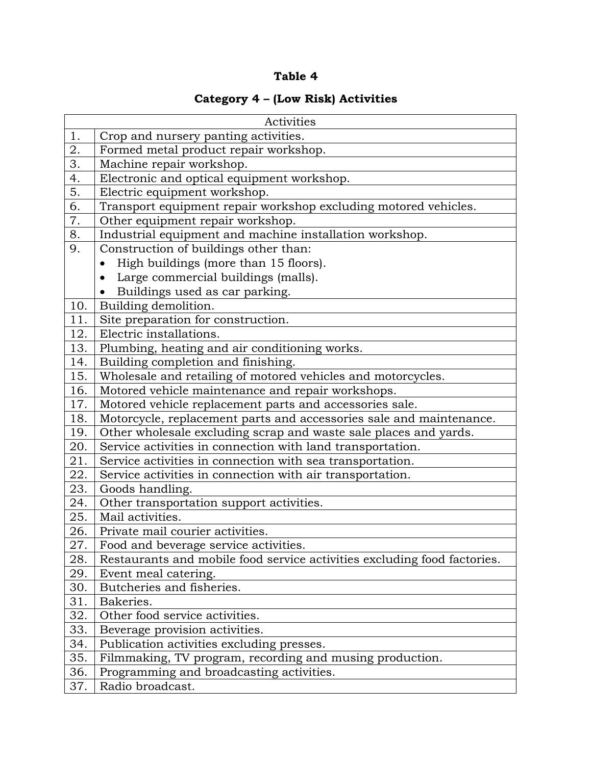### **Table 4**

# **Category 4 – (Low Risk) Activities**

| Activities |                                                                          |  |  |  |
|------------|--------------------------------------------------------------------------|--|--|--|
| 1.         | Crop and nursery panting activities.                                     |  |  |  |
| 2.         | Formed metal product repair workshop.                                    |  |  |  |
| 3.         | Machine repair workshop.                                                 |  |  |  |
| 4.         | Electronic and optical equipment workshop.                               |  |  |  |
| 5.         | Electric equipment workshop.                                             |  |  |  |
| 6.         | Transport equipment repair workshop excluding motored vehicles.          |  |  |  |
| 7.         | Other equipment repair workshop.                                         |  |  |  |
| 8.         | Industrial equipment and machine installation workshop.                  |  |  |  |
| 9.         | Construction of buildings other than:                                    |  |  |  |
|            | High buildings (more than 15 floors).                                    |  |  |  |
|            | Large commercial buildings (malls).                                      |  |  |  |
|            | Buildings used as car parking.                                           |  |  |  |
| 10.        | Building demolition.                                                     |  |  |  |
| 11.        | Site preparation for construction.                                       |  |  |  |
| 12.        | Electric installations.                                                  |  |  |  |
| 13.        | Plumbing, heating and air conditioning works.                            |  |  |  |
| 14.        | Building completion and finishing.                                       |  |  |  |
| 15.        | Wholesale and retailing of motored vehicles and motorcycles.             |  |  |  |
| 16.        | Motored vehicle maintenance and repair workshops.                        |  |  |  |
| 17.        | Motored vehicle replacement parts and accessories sale.                  |  |  |  |
| 18.        | Motorcycle, replacement parts and accessories sale and maintenance.      |  |  |  |
| 19.        | Other wholesale excluding scrap and waste sale places and yards.         |  |  |  |
| 20.        | Service activities in connection with land transportation.               |  |  |  |
| 21.        | Service activities in connection with sea transportation.                |  |  |  |
| 22.        | Service activities in connection with air transportation.                |  |  |  |
| 23.        | Goods handling.                                                          |  |  |  |
| 24.        | Other transportation support activities.                                 |  |  |  |
| 25.        | Mail activities.                                                         |  |  |  |
| 26.        | Private mail courier activities.                                         |  |  |  |
| 27.        | Food and beverage service activities.                                    |  |  |  |
| 28.        | Restaurants and mobile food service activities excluding food factories. |  |  |  |
| 29.        | Event meal catering.                                                     |  |  |  |
| 30.        | Butcheries and fisheries.                                                |  |  |  |
| 31.        | Bakeries.                                                                |  |  |  |
| 32.        | Other food service activities.                                           |  |  |  |
| 33.        | Beverage provision activities.                                           |  |  |  |
| 34.        | Publication activities excluding presses.                                |  |  |  |
| 35.        | Filmmaking, TV program, recording and musing production.                 |  |  |  |
| 36.        | Programming and broadcasting activities.                                 |  |  |  |
| 37.        | Radio broadcast.                                                         |  |  |  |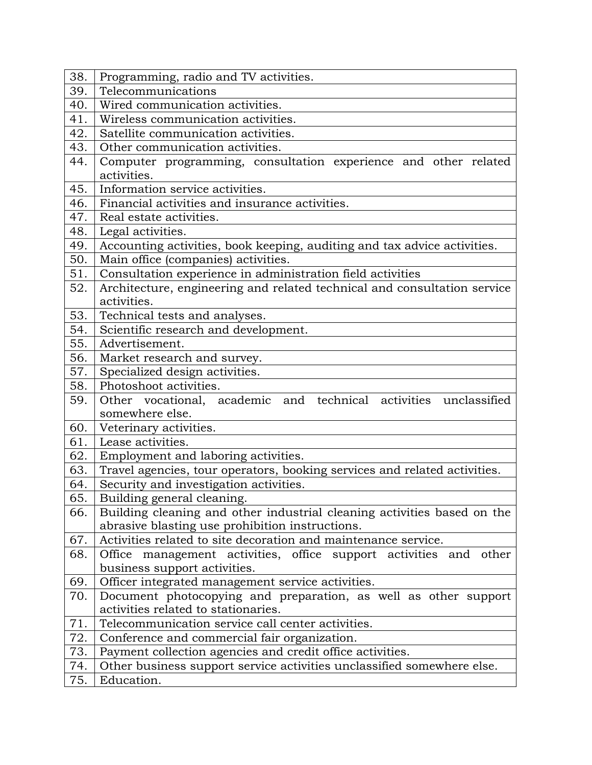| 38. | Programming, radio and TV activities.                                                                  |  |  |  |  |
|-----|--------------------------------------------------------------------------------------------------------|--|--|--|--|
| 39. | Telecommunications                                                                                     |  |  |  |  |
| 40. | Wired communication activities.                                                                        |  |  |  |  |
| 41. | Wireless communication activities.                                                                     |  |  |  |  |
| 42. | Satellite communication activities.                                                                    |  |  |  |  |
| 43. | Other communication activities.                                                                        |  |  |  |  |
| 44. | Computer programming, consultation experience and other related                                        |  |  |  |  |
|     | activities.                                                                                            |  |  |  |  |
| 45. | Information service activities.                                                                        |  |  |  |  |
| 46. | Financial activities and insurance activities.                                                         |  |  |  |  |
| 47. | Real estate activities.                                                                                |  |  |  |  |
| 48. | Legal activities.                                                                                      |  |  |  |  |
| 49. | Accounting activities, book keeping, auditing and tax advice activities.                               |  |  |  |  |
| 50. | Main office (companies) activities.                                                                    |  |  |  |  |
| 51. | Consultation experience in administration field activities                                             |  |  |  |  |
| 52. | Architecture, engineering and related technical and consultation service                               |  |  |  |  |
|     | activities.                                                                                            |  |  |  |  |
| 53. | Technical tests and analyses.                                                                          |  |  |  |  |
| 54. | Scientific research and development.                                                                   |  |  |  |  |
| 55. | Advertisement.                                                                                         |  |  |  |  |
| 56. | Market research and survey.                                                                            |  |  |  |  |
| 57. | Specialized design activities.                                                                         |  |  |  |  |
| 58. | Photoshoot activities.                                                                                 |  |  |  |  |
| 59. | Other vocational, academic and technical activities unclassified                                       |  |  |  |  |
|     | somewhere else.                                                                                        |  |  |  |  |
| 60. | Veterinary activities.                                                                                 |  |  |  |  |
| 61. | Lease activities.                                                                                      |  |  |  |  |
| 62. | Employment and laboring activities.                                                                    |  |  |  |  |
| 63. | Travel agencies, tour operators, booking services and related activities.                              |  |  |  |  |
| 64. | Security and investigation activities.                                                                 |  |  |  |  |
| 65. | Building general cleaning.                                                                             |  |  |  |  |
| 66. | Building cleaning and other industrial cleaning activities based on the                                |  |  |  |  |
|     | abrasive blasting use prohibition instructions.                                                        |  |  |  |  |
| 67. | Activities related to site decoration and maintenance service.                                         |  |  |  |  |
| 68. | Office management activities, office support activities and other                                      |  |  |  |  |
|     | business support activities.                                                                           |  |  |  |  |
| 69. | Officer integrated management service activities.                                                      |  |  |  |  |
| 70. | Document photocopying and preparation, as well as other support<br>activities related to stationaries. |  |  |  |  |
| 71. | Telecommunication service call center activities.                                                      |  |  |  |  |
| 72. | Conference and commercial fair organization.                                                           |  |  |  |  |
| 73. | Payment collection agencies and credit office activities.                                              |  |  |  |  |
| 74. | Other business support service activities unclassified somewhere else.                                 |  |  |  |  |
| 75. | Education.                                                                                             |  |  |  |  |
|     |                                                                                                        |  |  |  |  |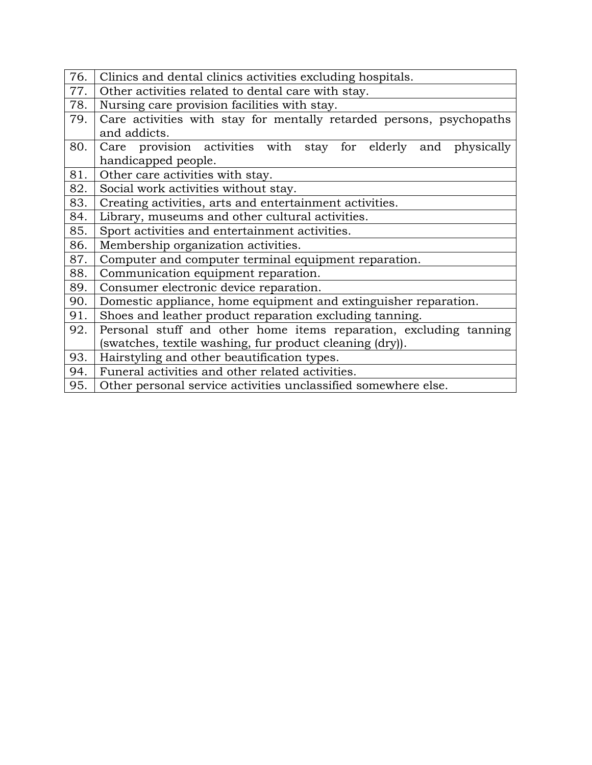| 76. | Clinics and dental clinics activities excluding hospitals.                            |  |  |  |  |
|-----|---------------------------------------------------------------------------------------|--|--|--|--|
| 77. | Other activities related to dental care with stay.                                    |  |  |  |  |
| 78. | Nursing care provision facilities with stay.                                          |  |  |  |  |
| 79. | Care activities with stay for mentally retarded persons, psychopaths<br>and addicts.  |  |  |  |  |
| 80. | Care provision activities with stay for elderly and physically<br>handicapped people. |  |  |  |  |
| 81. | Other care activities with stay.                                                      |  |  |  |  |
| 82. | Social work activities without stay.                                                  |  |  |  |  |
| 83. | Creating activities, arts and entertainment activities.                               |  |  |  |  |
| 84. | Library, museums and other cultural activities.                                       |  |  |  |  |
| 85. | Sport activities and entertainment activities.                                        |  |  |  |  |
| 86. | Membership organization activities.                                                   |  |  |  |  |
| 87. | Computer and computer terminal equipment reparation.                                  |  |  |  |  |
| 88. | Communication equipment reparation.                                                   |  |  |  |  |
| 89. | Consumer electronic device reparation.                                                |  |  |  |  |
| 90. | Domestic appliance, home equipment and extinguisher reparation.                       |  |  |  |  |
| 91. | Shoes and leather product reparation excluding tanning.                               |  |  |  |  |
| 92. | Personal stuff and other home items reparation, excluding tanning                     |  |  |  |  |
|     | (swatches, textile washing, fur product cleaning (dry)).                              |  |  |  |  |
| 93. | Hairstyling and other beautification types.                                           |  |  |  |  |
| 94. | Funeral activities and other related activities.                                      |  |  |  |  |
| 95. | Other personal service activities unclassified somewhere else.                        |  |  |  |  |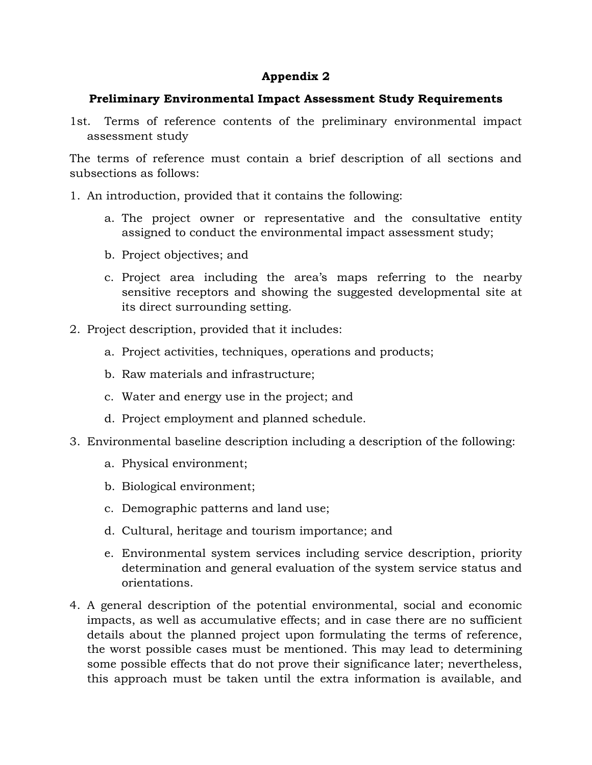### **Appendix 2**

### **Preliminary Environmental Impact Assessment Study Requirements**

1st. Terms of reference contents of the preliminary environmental impact assessment study

The terms of reference must contain a brief description of all sections and subsections as follows:

- 1. An introduction, provided that it contains the following:
	- a. The project owner or representative and the consultative entity assigned to conduct the environmental impact assessment study;
	- b. Project objectives; and
	- c. Project area including the area's maps referring to the nearby sensitive receptors and showing the suggested developmental site at its direct surrounding setting.
- 2. Project description, provided that it includes:
	- a. Project activities, techniques, operations and products;
	- b. Raw materials and infrastructure;
	- c. Water and energy use in the project; and
	- d. Project employment and planned schedule.
- 3. Environmental baseline description including a description of the following:
	- a. Physical environment;
	- b. Biological environment;
	- c. Demographic patterns and land use;
	- d. Cultural, heritage and tourism importance; and
	- e. Environmental system services including service description, priority determination and general evaluation of the system service status and orientations.
- 4. A general description of the potential environmental, social and economic impacts, as well as accumulative effects; and in case there are no sufficient details about the planned project upon formulating the terms of reference, the worst possible cases must be mentioned. This may lead to determining some possible effects that do not prove their significance later; nevertheless, this approach must be taken until the extra information is available, and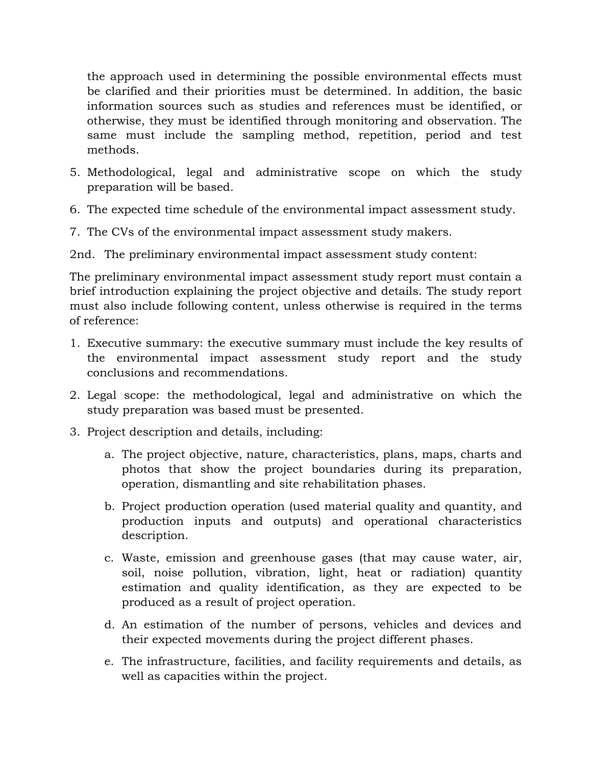the approach used in determining the possible environmental effects must be clarified and their priorities must be determined. In addition, the basic information sources such as studies and references must be identified, or otherwise, they must be identified through monitoring and observation. The same must include the sampling method, repetition, period and test methods.

- 5. Methodological, legal and administrative scope on which the study preparation will be based.
- 6. The expected time schedule of the environmental impact assessment study.
- 7. The CVs of the environmental impact assessment study makers.

2nd. The preliminary environmental impact assessment study content:

The preliminary environmental impact assessment study report must contain a brief introduction explaining the project objective and details. The study report must also include following content, unless otherwise is required in the terms of reference:

- 1. Executive summary: the executive summary must include the key results of the environmental impact assessment study report and the study conclusions and recommendations.
- 2. Legal scope: the methodological, legal and administrative on which the study preparation was based must be presented.
- 3. Project description and details, including:
	- a. The project objective, nature, characteristics, plans, maps, charts and photos that show the project boundaries during its preparation, operation, dismantling and site rehabilitation phases.
	- b. Project production operation (used material quality and quantity, and production inputs and outputs) and operational characteristics description.
	- c. Waste, emission and greenhouse gases (that may cause water, air, soil, noise pollution, vibration, light, heat or radiation) quantity estimation and quality identification, as they are expected to be produced as a result of project operation.
	- d. An estimation of the number of persons, vehicles and devices and their expected movements during the project different phases.
	- e. The infrastructure, facilities, and facility requirements and details, as well as capacities within the project.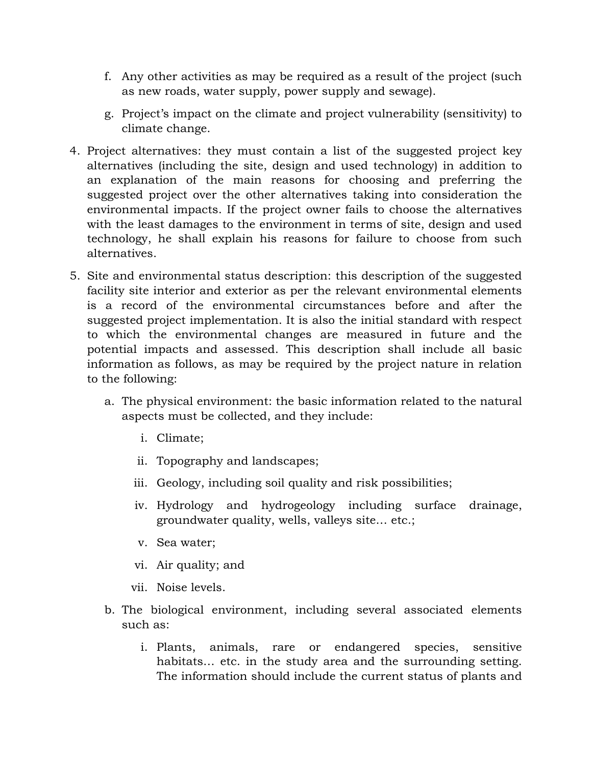- f. Any other activities as may be required as a result of the project (such as new roads, water supply, power supply and sewage).
- g. Project's impact on the climate and project vulnerability (sensitivity) to climate change.
- 4. Project alternatives: they must contain a list of the suggested project key alternatives (including the site, design and used technology) in addition to an explanation of the main reasons for choosing and preferring the suggested project over the other alternatives taking into consideration the environmental impacts. If the project owner fails to choose the alternatives with the least damages to the environment in terms of site, design and used technology, he shall explain his reasons for failure to choose from such alternatives.
- 5. Site and environmental status description: this description of the suggested facility site interior and exterior as per the relevant environmental elements is a record of the environmental circumstances before and after the suggested project implementation. It is also the initial standard with respect to which the environmental changes are measured in future and the potential impacts and assessed. This description shall include all basic information as follows, as may be required by the project nature in relation to the following:
	- a. The physical environment: the basic information related to the natural aspects must be collected, and they include:
		- i. Climate;
		- ii. Topography and landscapes;
		- iii. Geology, including soil quality and risk possibilities;
		- iv. Hydrology and hydrogeology including surface drainage, groundwater quality, wells, valleys site… etc.;
		- v. Sea water;
		- vi. Air quality; and
		- vii. Noise levels.
	- b. The biological environment, including several associated elements such as:
		- i. Plants, animals, rare or endangered species, sensitive habitats... etc. in the study area and the surrounding setting. The information should include the current status of plants and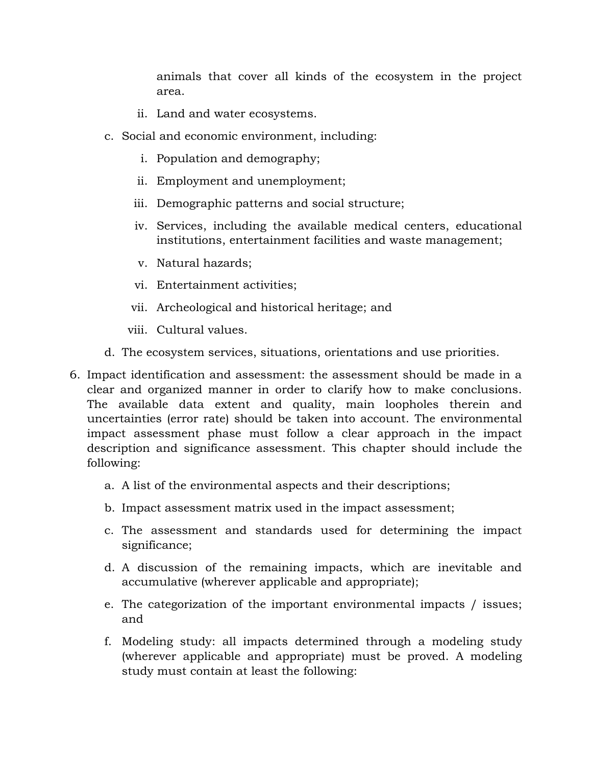animals that cover all kinds of the ecosystem in the project area.

- ii. Land and water ecosystems.
- c. Social and economic environment, including:
	- i. Population and demography;
	- ii. Employment and unemployment;
	- iii. Demographic patterns and social structure;
	- iv. Services, including the available medical centers, educational institutions, entertainment facilities and waste management;
	- v. Natural hazards;
	- vi. Entertainment activities;
	- vii. Archeological and historical heritage; and
	- viii. Cultural values.
- d. The ecosystem services, situations, orientations and use priorities.
- 6. Impact identification and assessment: the assessment should be made in a clear and organized manner in order to clarify how to make conclusions. The available data extent and quality, main loopholes therein and uncertainties (error rate) should be taken into account. The environmental impact assessment phase must follow a clear approach in the impact description and significance assessment. This chapter should include the following:
	- a. A list of the environmental aspects and their descriptions;
	- b. Impact assessment matrix used in the impact assessment;
	- c. The assessment and standards used for determining the impact significance;
	- d. A discussion of the remaining impacts, which are inevitable and accumulative (wherever applicable and appropriate);
	- e. The categorization of the important environmental impacts / issues; and
	- f. Modeling study: all impacts determined through a modeling study (wherever applicable and appropriate) must be proved. A modeling study must contain at least the following: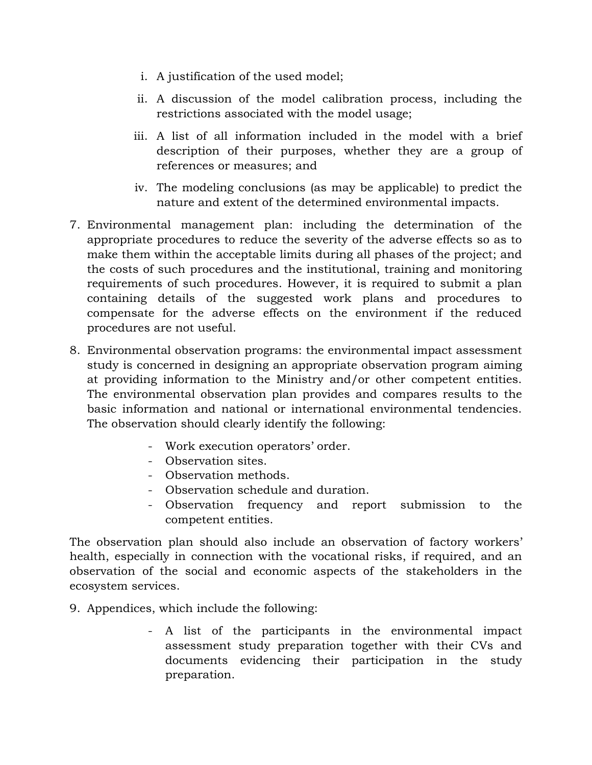- i. A justification of the used model;
- ii. A discussion of the model calibration process, including the restrictions associated with the model usage;
- iii. A list of all information included in the model with a brief description of their purposes, whether they are a group of references or measures; and
- iv. The modeling conclusions (as may be applicable) to predict the nature and extent of the determined environmental impacts.
- 7. Environmental management plan: including the determination of the appropriate procedures to reduce the severity of the adverse effects so as to make them within the acceptable limits during all phases of the project; and the costs of such procedures and the institutional, training and monitoring requirements of such procedures. However, it is required to submit a plan containing details of the suggested work plans and procedures to compensate for the adverse effects on the environment if the reduced procedures are not useful.
- 8. Environmental observation programs: the environmental impact assessment study is concerned in designing an appropriate observation program aiming at providing information to the Ministry and/or other competent entities. The environmental observation plan provides and compares results to the basic information and national or international environmental tendencies. The observation should clearly identify the following:
	- Work execution operators' order.
	- Observation sites.
	- Observation methods.
	- Observation schedule and duration.
	- Observation frequency and report submission to the competent entities.

The observation plan should also include an observation of factory workers' health, especially in connection with the vocational risks, if required, and an observation of the social and economic aspects of the stakeholders in the ecosystem services.

- 9. Appendices, which include the following:
	- A list of the participants in the environmental impact assessment study preparation together with their CVs and documents evidencing their participation in the study preparation.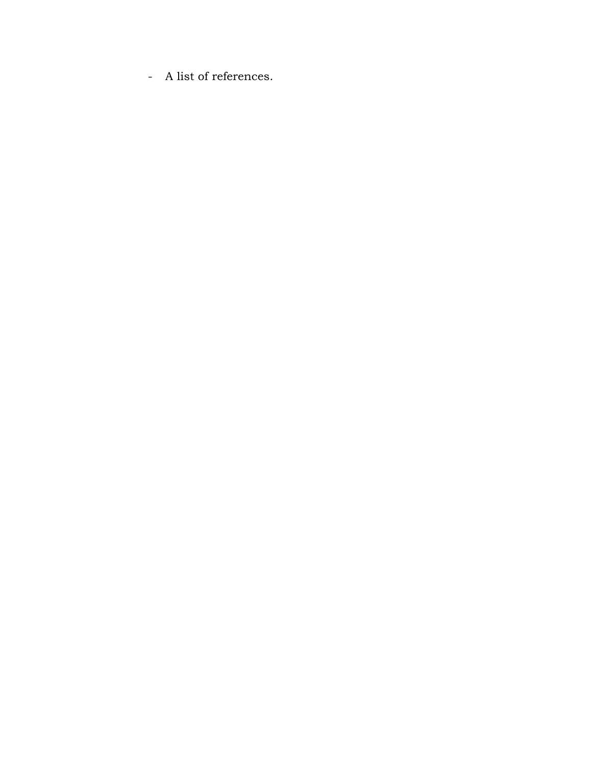- A list of references.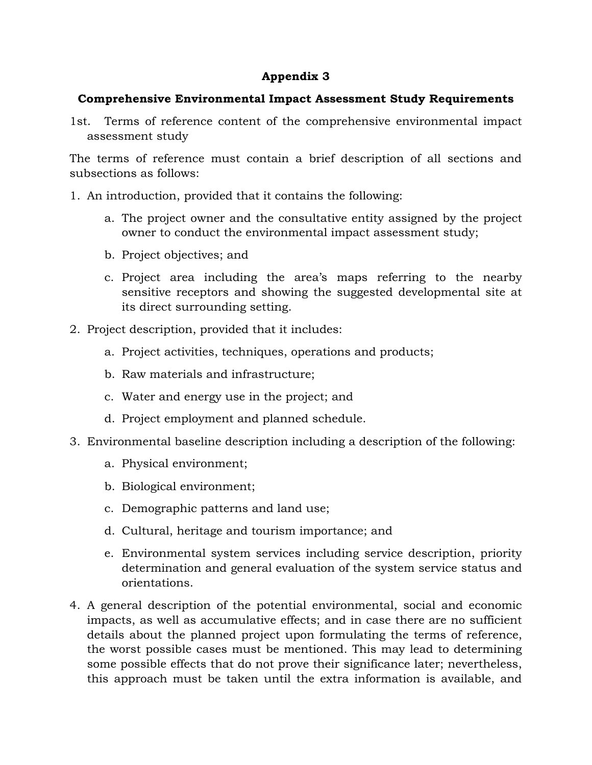### **Appendix 3**

### **Comprehensive Environmental Impact Assessment Study Requirements**

1st. Terms of reference content of the comprehensive environmental impact assessment study

The terms of reference must contain a brief description of all sections and subsections as follows:

- 1. An introduction, provided that it contains the following:
	- a. The project owner and the consultative entity assigned by the project owner to conduct the environmental impact assessment study;
	- b. Project objectives; and
	- c. Project area including the area's maps referring to the nearby sensitive receptors and showing the suggested developmental site at its direct surrounding setting.
- 2. Project description, provided that it includes:
	- a. Project activities, techniques, operations and products;
	- b. Raw materials and infrastructure;
	- c. Water and energy use in the project; and
	- d. Project employment and planned schedule.
- 3. Environmental baseline description including a description of the following:
	- a. Physical environment;
	- b. Biological environment;
	- c. Demographic patterns and land use;
	- d. Cultural, heritage and tourism importance; and
	- e. Environmental system services including service description, priority determination and general evaluation of the system service status and orientations.
- 4. A general description of the potential environmental, social and economic impacts, as well as accumulative effects; and in case there are no sufficient details about the planned project upon formulating the terms of reference, the worst possible cases must be mentioned. This may lead to determining some possible effects that do not prove their significance later; nevertheless, this approach must be taken until the extra information is available, and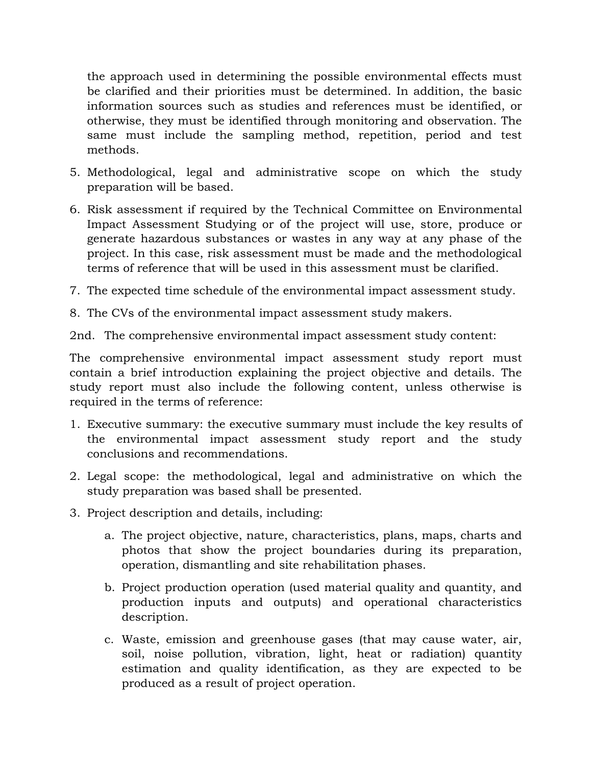the approach used in determining the possible environmental effects must be clarified and their priorities must be determined. In addition, the basic information sources such as studies and references must be identified, or otherwise, they must be identified through monitoring and observation. The same must include the sampling method, repetition, period and test methods.

- 5. Methodological, legal and administrative scope on which the study preparation will be based.
- 6. Risk assessment if required by the Technical Committee on Environmental Impact Assessment Studying or of the project will use, store, produce or generate hazardous substances or wastes in any way at any phase of the project. In this case, risk assessment must be made and the methodological terms of reference that will be used in this assessment must be clarified.
- 7. The expected time schedule of the environmental impact assessment study.
- 8. The CVs of the environmental impact assessment study makers.

2nd. The comprehensive environmental impact assessment study content:

The comprehensive environmental impact assessment study report must contain a brief introduction explaining the project objective and details. The study report must also include the following content, unless otherwise is required in the terms of reference:

- 1. Executive summary: the executive summary must include the key results of the environmental impact assessment study report and the study conclusions and recommendations.
- 2. Legal scope: the methodological, legal and administrative on which the study preparation was based shall be presented.
- 3. Project description and details, including:
	- a. The project objective, nature, characteristics, plans, maps, charts and photos that show the project boundaries during its preparation, operation, dismantling and site rehabilitation phases.
	- b. Project production operation (used material quality and quantity, and production inputs and outputs) and operational characteristics description.
	- c. Waste, emission and greenhouse gases (that may cause water, air, soil, noise pollution, vibration, light, heat or radiation) quantity estimation and quality identification, as they are expected to be produced as a result of project operation.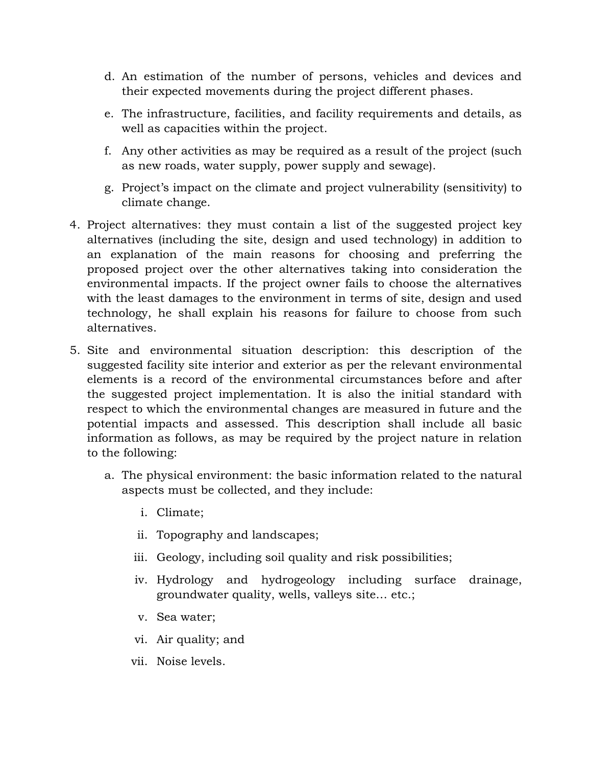- d. An estimation of the number of persons, vehicles and devices and their expected movements during the project different phases.
- e. The infrastructure, facilities, and facility requirements and details, as well as capacities within the project.
- f. Any other activities as may be required as a result of the project (such as new roads, water supply, power supply and sewage).
- g. Project's impact on the climate and project vulnerability (sensitivity) to climate change.
- 4. Project alternatives: they must contain a list of the suggested project key alternatives (including the site, design and used technology) in addition to an explanation of the main reasons for choosing and preferring the proposed project over the other alternatives taking into consideration the environmental impacts. If the project owner fails to choose the alternatives with the least damages to the environment in terms of site, design and used technology, he shall explain his reasons for failure to choose from such alternatives.
- 5. Site and environmental situation description: this description of the suggested facility site interior and exterior as per the relevant environmental elements is a record of the environmental circumstances before and after the suggested project implementation. It is also the initial standard with respect to which the environmental changes are measured in future and the potential impacts and assessed. This description shall include all basic information as follows, as may be required by the project nature in relation to the following:
	- a. The physical environment: the basic information related to the natural aspects must be collected, and they include:
		- i. Climate;
		- ii. Topography and landscapes;
		- iii. Geology, including soil quality and risk possibilities;
		- iv. Hydrology and hydrogeology including surface drainage, groundwater quality, wells, valleys site… etc.;
		- v. Sea water;
		- vi. Air quality; and
		- vii. Noise levels.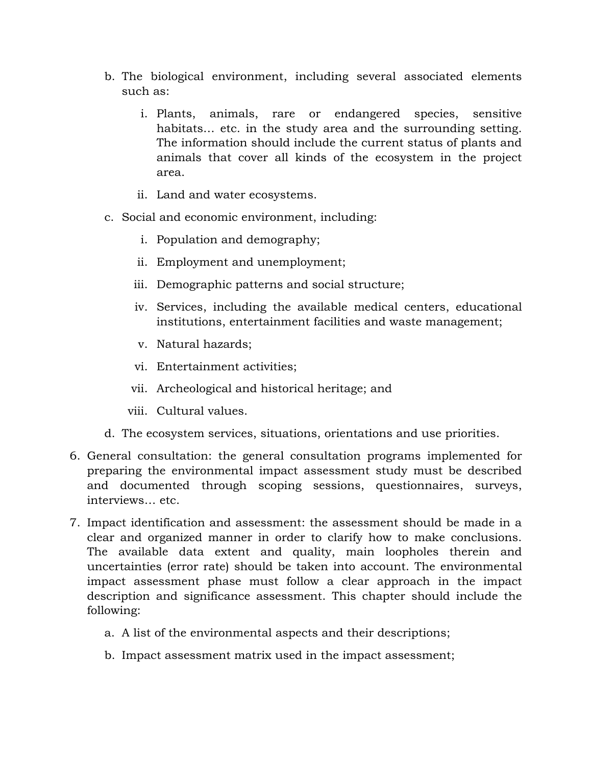- b. The biological environment, including several associated elements such as:
	- i. Plants, animals, rare or endangered species, sensitive habitats… etc. in the study area and the surrounding setting. The information should include the current status of plants and animals that cover all kinds of the ecosystem in the project area.
	- ii. Land and water ecosystems.
- c. Social and economic environment, including:
	- i. Population and demography;
	- ii. Employment and unemployment;
	- iii. Demographic patterns and social structure;
	- iv. Services, including the available medical centers, educational institutions, entertainment facilities and waste management;
	- v. Natural hazards;
	- vi. Entertainment activities;
	- vii. Archeological and historical heritage; and
	- viii. Cultural values.
- d. The ecosystem services, situations, orientations and use priorities.
- 6. General consultation: the general consultation programs implemented for preparing the environmental impact assessment study must be described and documented through scoping sessions, questionnaires, surveys, interviews… etc.
- 7. Impact identification and assessment: the assessment should be made in a clear and organized manner in order to clarify how to make conclusions. The available data extent and quality, main loopholes therein and uncertainties (error rate) should be taken into account. The environmental impact assessment phase must follow a clear approach in the impact description and significance assessment. This chapter should include the following:
	- a. A list of the environmental aspects and their descriptions;
	- b. Impact assessment matrix used in the impact assessment;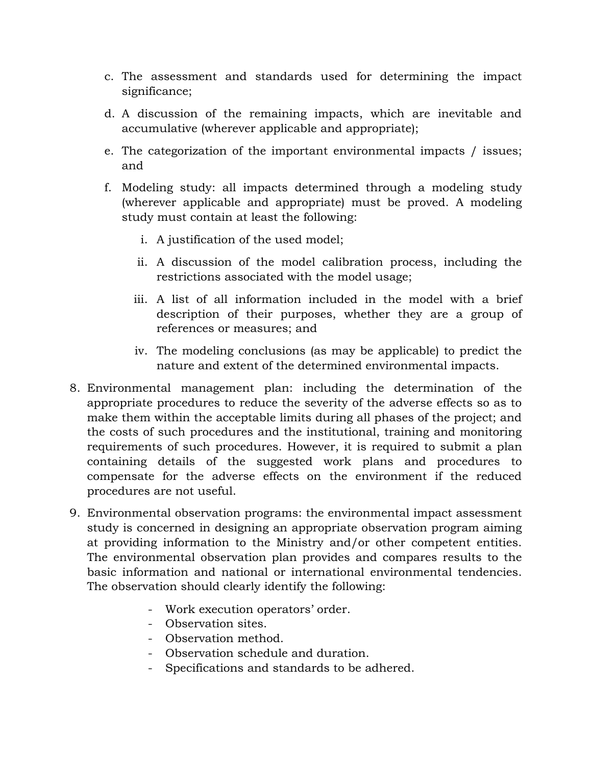- c. The assessment and standards used for determining the impact significance;
- d. A discussion of the remaining impacts, which are inevitable and accumulative (wherever applicable and appropriate);
- e. The categorization of the important environmental impacts / issues; and
- f. Modeling study: all impacts determined through a modeling study (wherever applicable and appropriate) must be proved. A modeling study must contain at least the following:
	- i. A justification of the used model;
	- ii. A discussion of the model calibration process, including the restrictions associated with the model usage;
	- iii. A list of all information included in the model with a brief description of their purposes, whether they are a group of references or measures; and
	- iv. The modeling conclusions (as may be applicable) to predict the nature and extent of the determined environmental impacts.
- 8. Environmental management plan: including the determination of the appropriate procedures to reduce the severity of the adverse effects so as to make them within the acceptable limits during all phases of the project; and the costs of such procedures and the institutional, training and monitoring requirements of such procedures. However, it is required to submit a plan containing details of the suggested work plans and procedures to compensate for the adverse effects on the environment if the reduced procedures are not useful.
- 9. Environmental observation programs: the environmental impact assessment study is concerned in designing an appropriate observation program aiming at providing information to the Ministry and/or other competent entities. The environmental observation plan provides and compares results to the basic information and national or international environmental tendencies. The observation should clearly identify the following:
	- Work execution operators' order.
	- Observation sites.
	- Observation method.
	- Observation schedule and duration.
	- Specifications and standards to be adhered.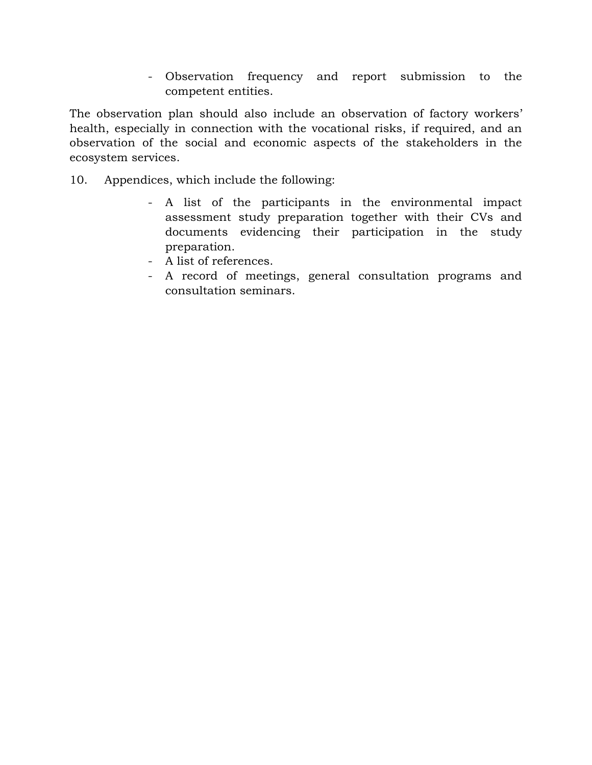- Observation frequency and report submission to the competent entities.

The observation plan should also include an observation of factory workers' health, especially in connection with the vocational risks, if required, and an observation of the social and economic aspects of the stakeholders in the ecosystem services.

- 10. Appendices, which include the following:
	- A list of the participants in the environmental impact assessment study preparation together with their CVs and documents evidencing their participation in the study preparation.
	- A list of references.
	- A record of meetings, general consultation programs and consultation seminars.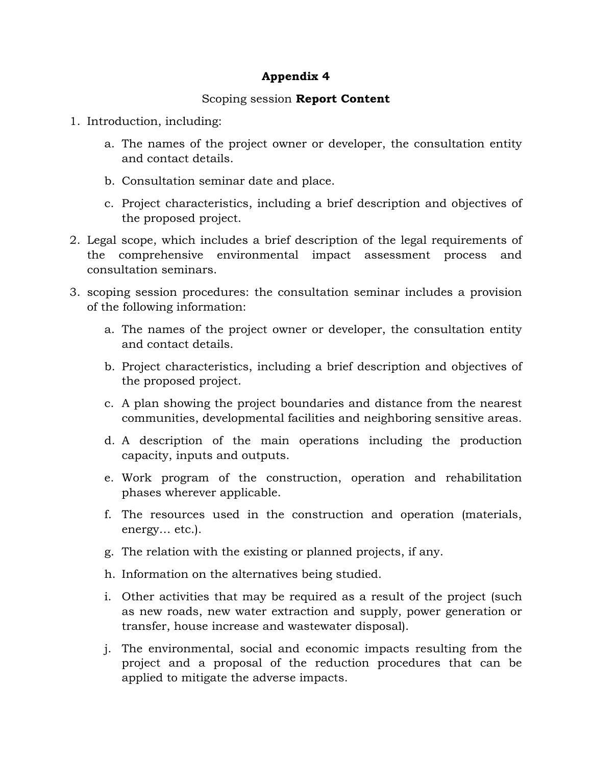### **Appendix 4**

### Scoping session **Report Content**

- 1. Introduction, including:
	- a. The names of the project owner or developer, the consultation entity and contact details.
	- b. Consultation seminar date and place.
	- c. Project characteristics, including a brief description and objectives of the proposed project.
- 2. Legal scope, which includes a brief description of the legal requirements of the comprehensive environmental impact assessment process and consultation seminars.
- 3. scoping session procedures: the consultation seminar includes a provision of the following information:
	- a. The names of the project owner or developer, the consultation entity and contact details.
	- b. Project characteristics, including a brief description and objectives of the proposed project.
	- c. A plan showing the project boundaries and distance from the nearest communities, developmental facilities and neighboring sensitive areas.
	- d. A description of the main operations including the production capacity, inputs and outputs.
	- e. Work program of the construction, operation and rehabilitation phases wherever applicable.
	- f. The resources used in the construction and operation (materials, energy… etc.).
	- g. The relation with the existing or planned projects, if any.
	- h. Information on the alternatives being studied.
	- i. Other activities that may be required as a result of the project (such as new roads, new water extraction and supply, power generation or transfer, house increase and wastewater disposal).
	- j. The environmental, social and economic impacts resulting from the project and a proposal of the reduction procedures that can be applied to mitigate the adverse impacts.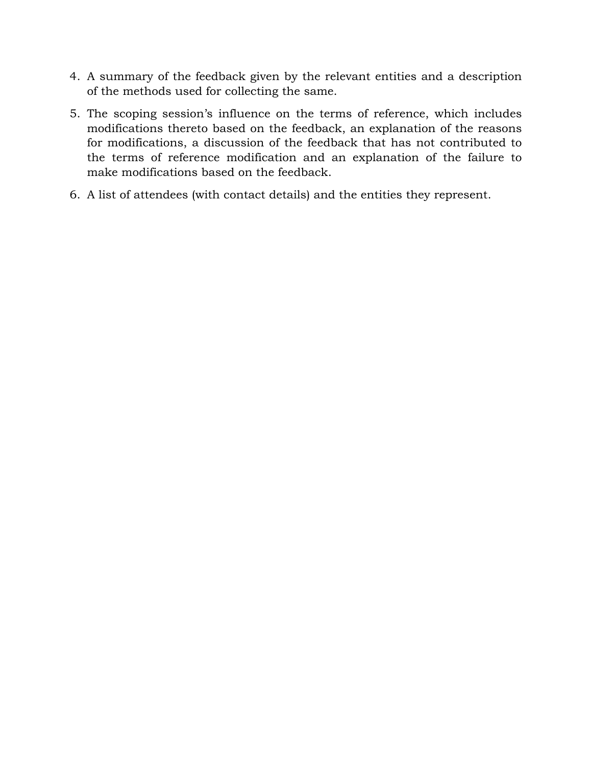- 4. A summary of the feedback given by the relevant entities and a description of the methods used for collecting the same.
- 5. The scoping session's influence on the terms of reference, which includes modifications thereto based on the feedback, an explanation of the reasons for modifications, a discussion of the feedback that has not contributed to the terms of reference modification and an explanation of the failure to make modifications based on the feedback.
- 6. A list of attendees (with contact details) and the entities they represent.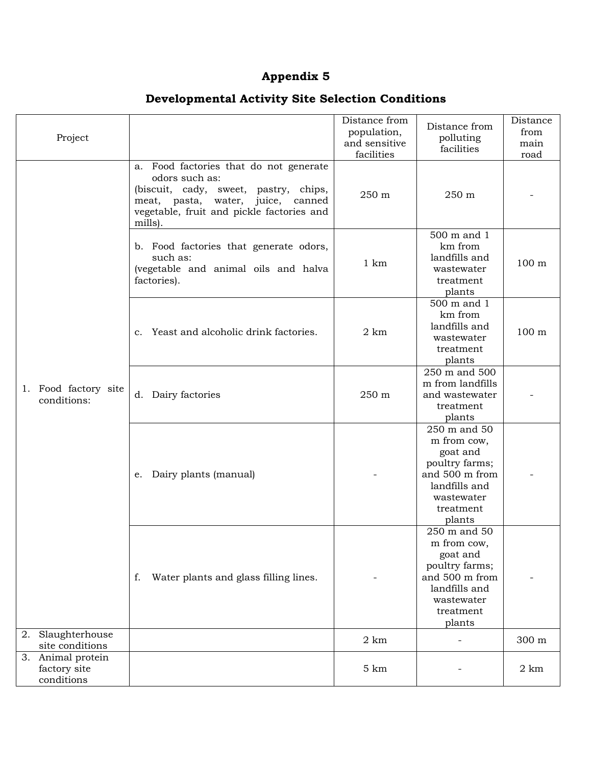# **Appendix 5**

# **Developmental Activity Site Selection Conditions**

| Project                                         |                                                                                                                                                                                                      | Distance from<br>population,<br>and sensitive<br>facilities | Distance from<br>polluting<br>facilities                                                                                          | Distance<br>from<br>main<br>road |
|-------------------------------------------------|------------------------------------------------------------------------------------------------------------------------------------------------------------------------------------------------------|-------------------------------------------------------------|-----------------------------------------------------------------------------------------------------------------------------------|----------------------------------|
|                                                 | Food factories that do not generate<br>a.<br>odors such as:<br>(biscuit, cady, sweet, pastry, chips,<br>meat, pasta, water, juice,<br>canned<br>vegetable, fruit and pickle factories and<br>mills). | 250 m                                                       | 250 m                                                                                                                             |                                  |
|                                                 | b. Food factories that generate odors,<br>such as:<br>(vegetable and animal oils and halva<br>factories).                                                                                            | $1 \text{ km}$                                              | 500 m and 1<br>km from<br>landfills and<br>wastewater<br>treatment<br>plants                                                      | 100 m                            |
|                                                 | Yeast and alcoholic drink factories.<br>$\mathbf{c}$ .                                                                                                                                               | $2 \text{ km}$                                              | 500 m and 1<br>km from<br>landfills and<br>wastewater<br>treatment<br>plants                                                      | 100 m                            |
| 1. Food factory site<br>conditions:             | d. Dairy factories                                                                                                                                                                                   | 250 m                                                       | 250 m and 500<br>m from landfills<br>and wastewater<br>treatment<br>plants                                                        |                                  |
|                                                 | Dairy plants (manual)<br>e.                                                                                                                                                                          |                                                             | 250 m and 50<br>m from cow,<br>goat and<br>poultry farms;<br>and 500 m from<br>landfills and<br>wastewater<br>treatment<br>plants |                                  |
|                                                 | Water plants and glass filling lines.<br>f.                                                                                                                                                          |                                                             | 250 m and 50<br>m from cow,<br>goat and<br>poultry farms;<br>and 500 m from<br>landfills and<br>wastewater<br>treatment<br>plants |                                  |
| Slaughterhouse<br>2.<br>site conditions         |                                                                                                                                                                                                      | $2 \text{ km}$                                              |                                                                                                                                   | 300 m                            |
| 3. Animal protein<br>factory site<br>conditions |                                                                                                                                                                                                      | $5 \text{ km}$                                              |                                                                                                                                   | $2 \text{ km}$                   |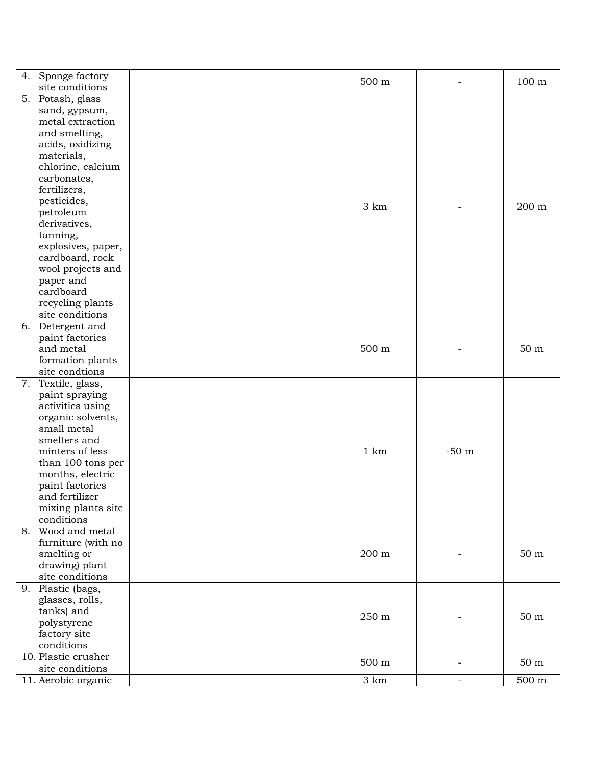|    | 4. Sponge factory   | 500 m |                          | 100 <sub>m</sub>   |
|----|---------------------|-------|--------------------------|--------------------|
|    | site conditions     |       |                          |                    |
|    | 5. Potash, glass    |       |                          |                    |
|    | sand, gypsum,       |       |                          |                    |
|    | metal extraction    |       |                          |                    |
|    | and smelting,       |       |                          |                    |
|    | acids, oxidizing    |       |                          |                    |
|    | materials,          |       |                          |                    |
|    | chlorine, calcium   |       |                          |                    |
|    | carbonates,         |       |                          |                    |
|    | fertilizers,        |       |                          |                    |
|    | pesticides,         |       |                          |                    |
|    | petroleum           | 3 km  |                          | 200 m              |
|    | derivatives,        |       |                          |                    |
|    | tanning,            |       |                          |                    |
|    | explosives, paper,  |       |                          |                    |
|    | cardboard, rock     |       |                          |                    |
|    | wool projects and   |       |                          |                    |
|    | paper and           |       |                          |                    |
|    | cardboard           |       |                          |                    |
|    |                     |       |                          |                    |
|    | recycling plants    |       |                          |                    |
|    | site conditions     |       |                          |                    |
|    | 6. Detergent and    |       |                          |                    |
|    | paint factories     |       |                          |                    |
|    | and metal           | 500 m |                          | 50 <sub>m</sub>    |
|    | formation plants    |       |                          |                    |
|    | site condtions      |       |                          |                    |
|    | 7. Textile, glass,  |       |                          |                    |
|    | paint spraying      |       |                          |                    |
|    | activities using    |       |                          |                    |
|    | organic solvents,   |       |                          |                    |
|    | small metal         |       |                          |                    |
|    | smelters and        |       |                          |                    |
|    | minters of less     | 1 km  | $-50$ m                  |                    |
|    | than 100 tons per   |       |                          |                    |
|    | months, electric    |       |                          |                    |
|    | paint factories     |       |                          |                    |
|    | and fertilizer      |       |                          |                    |
|    | mixing plants site  |       |                          |                    |
|    | conditions          |       |                          |                    |
| 8. | Wood and metal      |       |                          |                    |
|    | furniture (with no  |       |                          |                    |
|    | smelting or         | 200 m |                          | $50 \; \mathrm{m}$ |
|    | drawing) plant      |       |                          |                    |
|    | site conditions     |       |                          |                    |
|    | 9. Plastic (bags,   |       |                          |                    |
|    | glasses, rolls,     |       |                          |                    |
|    | tanks) and          |       |                          |                    |
|    |                     | 250 m |                          | $50\ {\rm m}$      |
|    | polystyrene         |       |                          |                    |
|    | factory site        |       |                          |                    |
|    | conditions          |       |                          |                    |
|    | 10. Plastic crusher | 500 m | $\overline{\phantom{0}}$ | $50 \; \mathrm{m}$ |
|    | site conditions     |       |                          |                    |
|    | 11. Aerobic organic | 3 km  | $\overline{\phantom{a}}$ | $500~\mathrm{m}$   |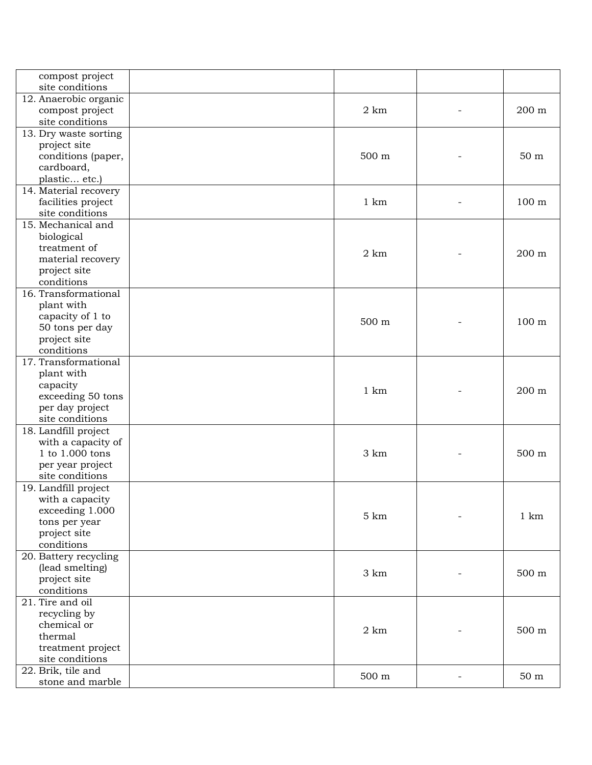| compost project                       |                     |                    |
|---------------------------------------|---------------------|--------------------|
| site conditions                       |                     |                    |
| 12. Anaerobic organic                 |                     |                    |
| compost project                       | $2 \text{ km}$      | 200 m              |
| site conditions                       |                     |                    |
| 13. Dry waste sorting                 |                     |                    |
| project site                          |                     |                    |
| conditions (paper,                    | 500 m               | 50 <sub>m</sub>    |
| cardboard,                            |                     |                    |
| plastic etc.)                         |                     |                    |
| 14. Material recovery                 |                     |                    |
| facilities project                    | $1 \text{ km}$      | 100 <sub>m</sub>   |
| site conditions                       |                     |                    |
| 15. Mechanical and                    |                     |                    |
| biological                            |                     |                    |
| treatment of                          |                     |                    |
| material recovery                     | $2 \text{ km}$      | 200 m              |
| project site                          |                     |                    |
| conditions                            |                     |                    |
| 16. Transformational                  |                     |                    |
| plant with                            |                     |                    |
| capacity of 1 to                      |                     |                    |
| 50 tons per day                       | 500 m               | 100 m              |
| project site                          |                     |                    |
| conditions                            |                     |                    |
| 17. Transformational                  |                     |                    |
| plant with                            |                     |                    |
| capacity                              |                     |                    |
| exceeding 50 tons                     | 1 km                | 200 m              |
| per day project                       |                     |                    |
| site conditions                       |                     |                    |
| 18. Landfill project                  |                     |                    |
|                                       |                     |                    |
| with a capacity of<br>1 to 1.000 tons | 3 km                | 500 m              |
|                                       |                     |                    |
| per year project<br>site conditions   |                     |                    |
|                                       |                     |                    |
| 19. Landfill project                  |                     |                    |
| with a capacity                       |                     |                    |
| exceeding 1.000                       | 5 km                | 1 km               |
| tons per year                         |                     |                    |
| project site                          |                     |                    |
| conditions                            |                     |                    |
| 20. Battery recycling                 |                     |                    |
| (lead smelting)                       | 3 km                | $500~\mathrm{m}$   |
| project site                          |                     |                    |
| conditions                            |                     |                    |
| 21. Tire and oil                      |                     |                    |
| recycling by                          |                     |                    |
| chemical or                           | $2 \text{ km}$      | $500~\mathrm{m}$   |
| thermal                               |                     |                    |
| treatment project                     |                     |                    |
| site conditions                       |                     |                    |
| 22. Brik, tile and                    | $500 \; \mathrm{m}$ | $50 \; \mathrm{m}$ |
| stone and marble                      |                     |                    |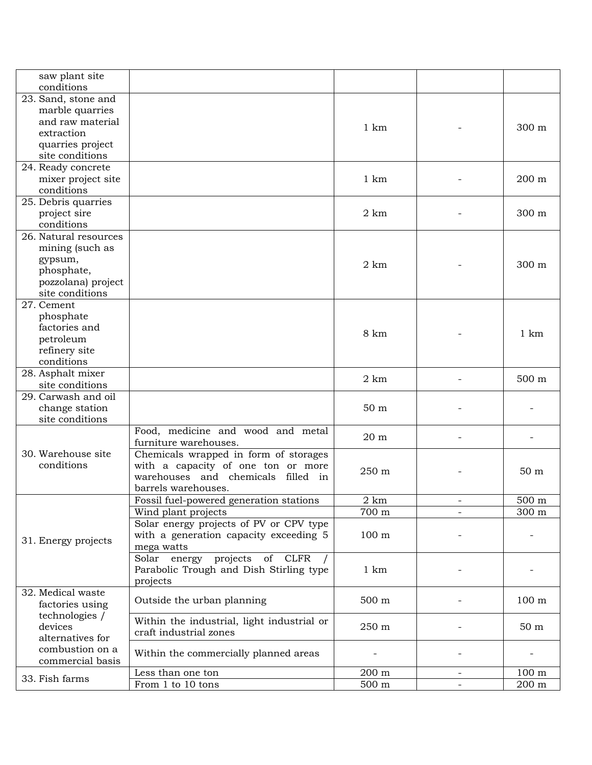| saw plant site<br>conditions        |                                            |                 |                |                  |
|-------------------------------------|--------------------------------------------|-----------------|----------------|------------------|
| 23. Sand, stone and                 |                                            |                 |                |                  |
|                                     |                                            |                 |                |                  |
| marble quarries<br>and raw material |                                            |                 |                |                  |
|                                     |                                            | $1 \text{ km}$  |                | 300 m            |
| extraction                          |                                            |                 |                |                  |
| quarries project                    |                                            |                 |                |                  |
| site conditions                     |                                            |                 |                |                  |
| 24. Ready concrete                  |                                            |                 |                |                  |
| mixer project site                  |                                            | 1 km            |                | 200 m            |
| conditions                          |                                            |                 |                |                  |
| 25. Debris quarries                 |                                            |                 |                |                  |
| project sire                        |                                            | $2 \text{ km}$  |                | 300 m            |
| conditions                          |                                            |                 |                |                  |
| 26. Natural resources               |                                            |                 |                |                  |
| mining (such as                     |                                            |                 |                |                  |
| gypsum,                             |                                            |                 |                |                  |
| phosphate,                          |                                            | $2 \text{ km}$  |                | 300 m            |
| pozzolana) project                  |                                            |                 |                |                  |
| site conditions                     |                                            |                 |                |                  |
| 27. Cement                          |                                            |                 |                |                  |
| phosphate                           |                                            |                 |                |                  |
| factories and                       |                                            |                 |                |                  |
| petroleum                           |                                            | 8 km            |                | $1 \text{ km}$   |
| refinery site                       |                                            |                 |                |                  |
|                                     |                                            |                 |                |                  |
| conditions                          |                                            |                 |                |                  |
| 28. Asphalt mixer                   |                                            | $2 \text{ km}$  |                | 500 m            |
| site conditions                     |                                            |                 |                |                  |
| 29. Carwash and oil                 |                                            |                 |                |                  |
| change station                      |                                            | 50 <sub>m</sub> |                |                  |
| site conditions                     |                                            |                 |                |                  |
|                                     | Food, medicine and wood and metal          | 20 m            |                |                  |
|                                     | furniture warehouses.                      |                 |                |                  |
| 30. Warehouse site                  | Chemicals wrapped in form of storages      |                 |                |                  |
| conditions                          | with a capacity of one ton or more         | 250 m           |                | 50 <sub>m</sub>  |
|                                     | warehouses and chemicals filled in         |                 |                |                  |
|                                     | barrels warehouses.                        |                 |                |                  |
|                                     | Fossil fuel-powered generation stations    | $2 \text{ km}$  |                | 500 m            |
|                                     | Wind plant projects                        | 700 m           | $\blacksquare$ | 300 m            |
|                                     | Solar energy projects of PV or CPV type    |                 |                |                  |
|                                     | with a generation capacity exceeding 5     | $100 \text{ m}$ |                |                  |
| 31. Energy projects                 | mega watts                                 |                 |                |                  |
|                                     | Solar energy projects of CLFR              |                 |                |                  |
|                                     | Parabolic Trough and Dish Stirling type    | $1 \text{ km}$  |                |                  |
|                                     | projects                                   |                 |                |                  |
| 32. Medical waste                   |                                            |                 |                |                  |
|                                     | Outside the urban planning                 | 500 m           |                | 100 <sub>m</sub> |
| factories using                     |                                            |                 |                |                  |
| technologies /                      | Within the industrial, light industrial or |                 |                |                  |
| devices                             | craft industrial zones                     | 250 m           |                | 50 <sub>m</sub>  |
| alternatives for                    |                                            |                 |                |                  |
| combustion on a                     | Within the commercially planned areas      |                 |                |                  |
| commercial basis                    |                                            |                 |                |                  |
| 33. Fish farms                      | Less than one ton                          | 200 m           |                | 100 <sub>m</sub> |
|                                     | From 1 to 10 tons                          | $500 \text{ m}$ |                | 200 m            |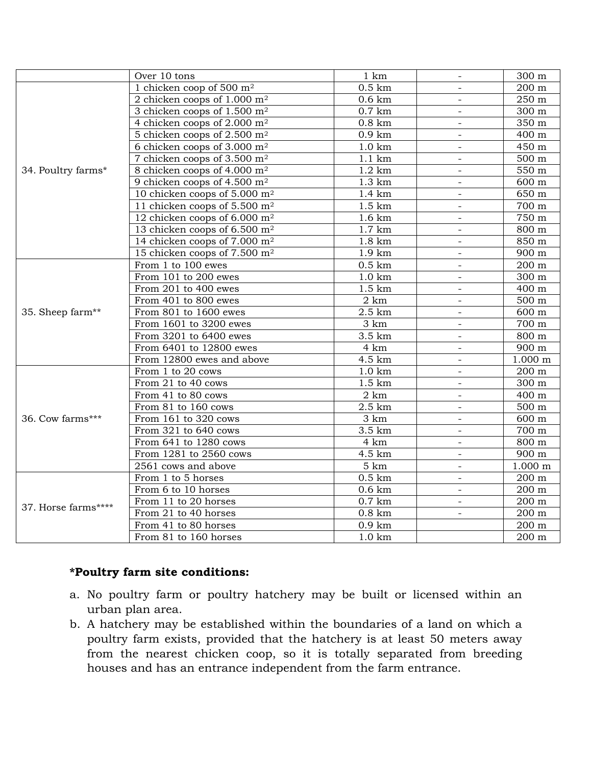|                     | Over 10 tons                              | 1 km              | $\overline{\phantom{a}}$ | 300 m              |
|---------------------|-------------------------------------------|-------------------|--------------------------|--------------------|
|                     | 1 chicken coop of 500 $m2$                | $0.5 \mathrm{km}$ |                          | 200 m              |
|                     | 2 chicken coops of $1.000$ m <sup>2</sup> | $0.6 \mathrm{km}$ |                          | $250\ {\rm m}$     |
|                     | 3 chicken coops of $1.500$ m <sup>2</sup> | $0.7$ km          | $\overline{a}$           | $\overline{300}$ m |
|                     | 4 chicken coops of $2.000$ m <sup>2</sup> | $0.8 \text{ km}$  | $\overline{\phantom{a}}$ | 350 m              |
|                     | 5 chicken coops of 2.500 m <sup>2</sup>   | $0.9 \text{ km}$  | $\overline{\phantom{a}}$ | 400 m              |
|                     | 6 chicken coops of 3.000 $m2$             | $1.0 \text{ km}$  | $\overline{\phantom{a}}$ | 450 m              |
|                     | 7 chicken coops of $3.500$ m <sup>2</sup> | $1.1 \text{ km}$  | $\equiv$                 | 500 m              |
| 34. Poultry farms*  | 8 chicken coops of 4.000 m <sup>2</sup>   | $1.2 \text{ km}$  | $\overline{\phantom{a}}$ | 550 m              |
|                     | 9 chicken coops of 4.500 $m2$             | $1.3 \text{ km}$  | $\overline{\phantom{a}}$ | 600 m              |
|                     | 10 chicken coops of 5.000 $m2$            | 1.4 km            |                          | 650 m              |
|                     | 11 chicken coops of 5.500 m <sup>2</sup>  | $1.5 \mathrm{km}$ | $\overline{\phantom{0}}$ | 700 m              |
|                     | 12 chicken coops of $6.000 \text{ m}^2$   | $1.6 \mathrm{km}$ | $\blacksquare$           | 750 m              |
|                     | 13 chicken coops of 6.500 m <sup>2</sup>  | $1.7 \text{ km}$  | $\overline{\phantom{a}}$ | 800 m              |
|                     | 14 chicken coops of 7.000 m <sup>2</sup>  | $1.8 \text{ km}$  |                          | 850 m              |
|                     | 15 chicken coops of 7.500 m <sup>2</sup>  | $1.9 \text{ km}$  |                          | 900 m              |
|                     | From 1 to 100 ewes                        | $0.5 \mathrm{km}$ | $\equiv$                 | 200 m              |
|                     | From 101 to 200 ewes                      | $1.0 \text{ km}$  | $\overline{\phantom{a}}$ | 300 m              |
|                     | From 201 to 400 ewes                      | $1.5 \mathrm{km}$ | $\overline{a}$           | 400 m              |
|                     | From 401 to 800 ewes                      | $2 \text{ km}$    | $\equiv$                 | 500 m              |
| 35. Sheep farm**    | From 801 to 1600 ewes                     | $2.5 \text{ km}$  | $\blacksquare$           | 600 m              |
|                     | From 1601 to 3200 ewes                    | 3 km              | $\overline{\phantom{a}}$ | 700 m              |
|                     | From 3201 to 6400 ewes                    | 3.5 km            |                          | 800 m              |
|                     | From 6401 to 12800 ewes                   | 4 km              | $\equiv$                 | 900 m              |
|                     | From 12800 ewes and above                 | 4.5 km            | $\equiv$                 | $1.000$ m          |
|                     | From 1 to 20 cows                         | $1.0 \text{ km}$  |                          | 200 m              |
|                     | From 21 to 40 cows                        | $1.5 \mathrm{km}$ | $\overline{\phantom{0}}$ | 300 m              |
|                     | From 41 to 80 cows                        | $2 \text{ km}$    | $\overline{\phantom{a}}$ | 400 m              |
|                     | From 81 to 160 cows                       | $2.5 \text{ km}$  | $\overline{\phantom{a}}$ | $500 \text{ m}$    |
| 36. Cow farms***    | From 161 to 320 cows                      | 3 km              | $\overline{\phantom{0}}$ | 600 m              |
|                     | From 321 to 640 cows                      | 3.5 km            | $\overline{\phantom{a}}$ | 700 m              |
|                     | From 641 to 1280 cows                     | 4 km              | $\overline{a}$           | 800 m              |
|                     | From 1281 to 2560 cows                    | 4.5 km            | $\overline{a}$           | 900 m              |
|                     | 2561 cows and above                       | 5 km              | $\overline{a}$           | 1.000 m            |
| 37. Horse farms**** | From 1 to 5 horses                        | $0.5 \mathrm{km}$ | $\overline{\phantom{a}}$ | 200 m              |
|                     | From 6 to 10 horses                       | $0.6 \mathrm{km}$ | $\overline{\phantom{a}}$ | 200 m              |
|                     | From 11 to 20 horses                      | $0.7 \text{ km}$  | $\overline{\phantom{a}}$ | 200 m              |
|                     | From 21 to 40 horses                      | $0.8 \mathrm{km}$ | $\blacksquare$           | 200 m              |
|                     | From 41 to 80 horses                      | $0.9 \text{ km}$  |                          | 200 m              |
|                     | From 81 to 160 horses                     | $1.0 \text{ km}$  |                          | 200 m              |

### **\*Poultry farm site conditions:**

- a. No poultry farm or poultry hatchery may be built or licensed within an urban plan area.
- b. A hatchery may be established within the boundaries of a land on which a poultry farm exists, provided that the hatchery is at least 50 meters away from the nearest chicken coop, so it is totally separated from breeding houses and has an entrance independent from the farm entrance.